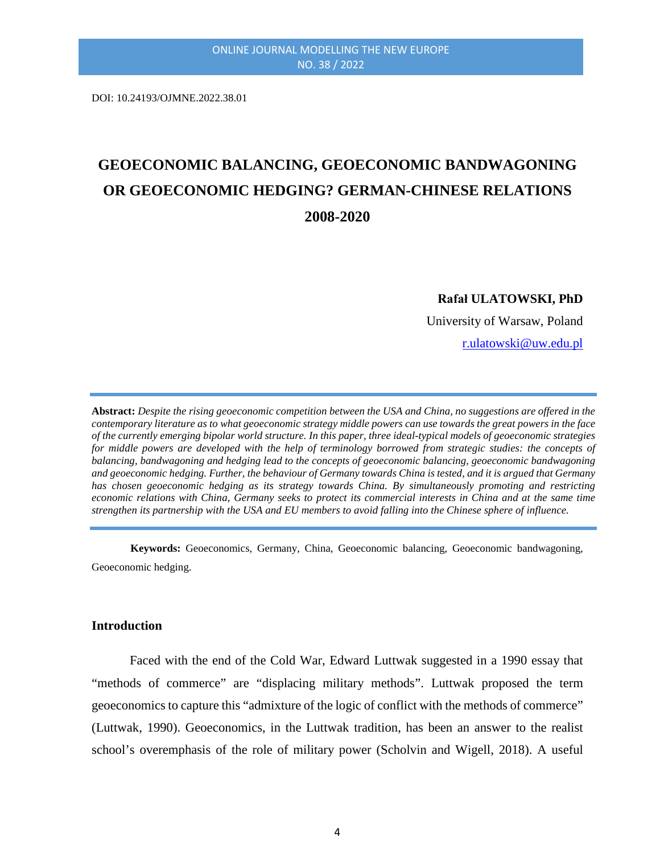DOI: 10.24193/OJMNE.2022.38.01

# **GEOECONOMIC BALANCING, GEOECONOMIC BANDWAGONING OR GEOECONOMIC HEDGING? GERMAN-CHINESE RELATIONS 2008-2020**

**Rafał ULATOWSKI, PhD**

University of Warsaw, Poland

[r.ulatowski@uw.edu.pl](mailto:r.ulatowski@uw.edu.pl)

**Abstract:** *Despite the rising geoeconomic competition between the USA and China, no suggestions are offered in the contemporary literature as to what geoeconomic strategy middle powers can use towards the great powers in the face of the currently emerging bipolar world structure. In this paper, three ideal-typical models of geoeconomic strategies for middle powers are developed with the help of terminology borrowed from strategic studies: the concepts of balancing, bandwagoning and hedging lead to the concepts of geoeconomic balancing, geoeconomic bandwagoning and geoeconomic hedging. Further, the behaviour of Germany towards China is tested, and it is argued that Germany has chosen geoeconomic hedging as its strategy towards China. By simultaneously promoting and restricting economic relations with China, Germany seeks to protect its commercial interests in China and at the same time strengthen its partnership with the USA and EU members to avoid falling into the Chinese sphere of influence.*

**Keywords:** Geoeconomics, Germany, China, Geoeconomic balancing, Geoeconomic bandwagoning, Geoeconomic hedging.

#### **Introduction**

Faced with the end of the Cold War, Edward Luttwak suggested in a 1990 essay that "methods of commerce" are "displacing military methods". Luttwak proposed the term geoeconomics to capture this "admixture of the logic of conflict with the methods of commerce" (Luttwak, 1990). Geoeconomics, in the Luttwak tradition, has been an answer to the realist school's overemphasis of the role of military power (Scholvin and Wigell, 2018). A useful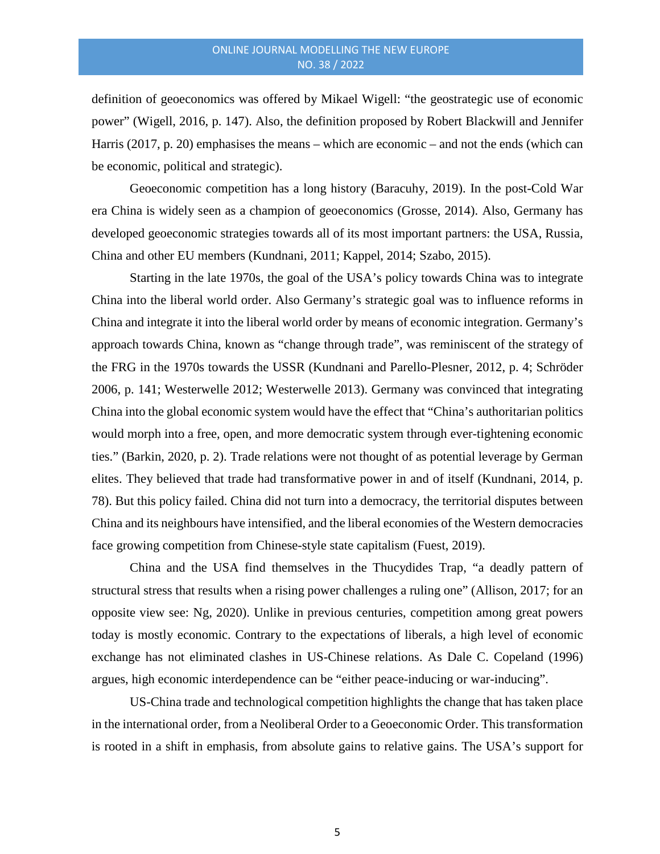definition of geoeconomics was offered by Mikael Wigell: "the geostrategic use of economic power" (Wigell, 2016, p. 147). Also, the definition proposed by Robert Blackwill and Jennifer Harris (2017, p. 20) emphasises the means – which are economic – and not the ends (which can be economic, political and strategic).

Geoeconomic competition has a long history (Baracuhy, 2019). In the post-Cold War era China is widely seen as a champion of geoeconomics (Grosse, 2014). Also, Germany has developed geoeconomic strategies towards all of its most important partners: the USA, Russia, China and other EU members (Kundnani, 2011; Kappel, 2014; Szabo, 2015).

Starting in the late 1970s, the goal of the USA's policy towards China was to integrate China into the liberal world order. Also Germany's strategic goal was to influence reforms in China and integrate it into the liberal world order by means of economic integration. Germany's approach towards China, known as "change through trade", was reminiscent of the strategy of the FRG in the 1970s towards the USSR (Kundnani and Parello-Plesner, 2012, p. 4; Schröder 2006, p. 141; Westerwelle 2012; Westerwelle 2013). Germany was convinced that integrating China into the global economic system would have the effect that "China's authoritarian politics would morph into a free, open, and more democratic system through ever-tightening economic ties." (Barkin, 2020, p. 2). Trade relations were not thought of as potential leverage by German elites. They believed that trade had transformative power in and of itself (Kundnani, 2014, p. 78). But this policy failed. China did not turn into a democracy, the territorial disputes between China and its neighbours have intensified, and the liberal economies of the Western democracies face growing competition from Chinese-style state capitalism (Fuest, 2019).

China and the USA find themselves in the Thucydides Trap, "a deadly pattern of structural stress that results when a rising power challenges a ruling one" (Allison, 2017; for an opposite view see: Ng, 2020). Unlike in previous centuries, competition among great powers today is mostly economic. Contrary to the expectations of liberals, a high level of economic exchange has not eliminated clashes in US-Chinese relations. As Dale C. Copeland (1996) argues, high economic interdependence can be "either peace-inducing or war-inducing".

US-China trade and technological competition highlights the change that has taken place in the international order, from a Neoliberal Order to a Geoeconomic Order. This transformation is rooted in a shift in emphasis, from absolute gains to relative gains. The USA's support for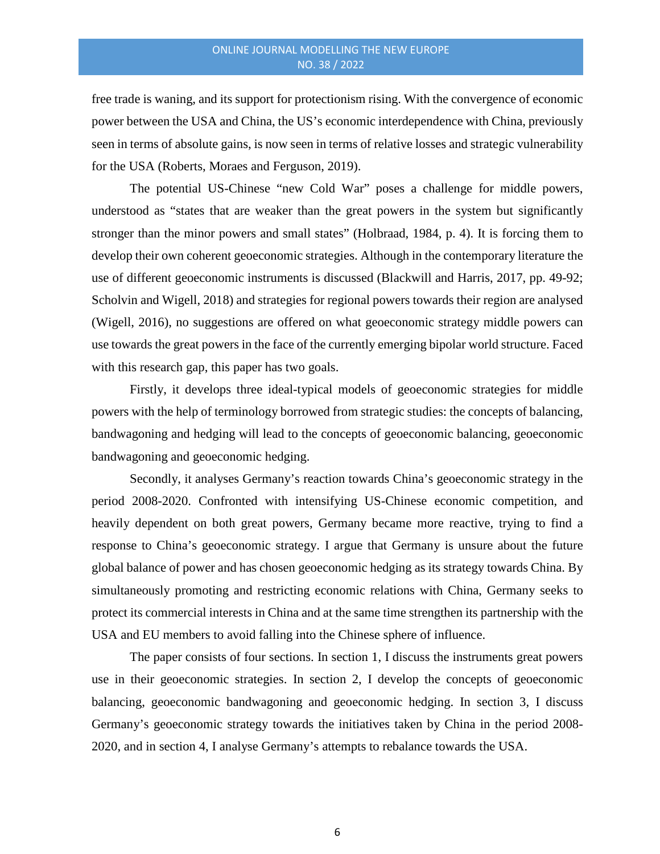free trade is waning, and its support for protectionism rising. With the convergence of economic power between the USA and China, the US's economic interdependence with China, previously seen in terms of absolute gains, is now seen in terms of relative losses and strategic vulnerability for the USA (Roberts, Moraes and Ferguson, 2019).

The potential US-Chinese "new Cold War" poses a challenge for middle powers, understood as "states that are weaker than the great powers in the system but significantly stronger than the minor powers and small states" (Holbraad, 1984, p. 4). It is forcing them to develop their own coherent geoeconomic strategies. Although in the contemporary literature the use of different geoeconomic instruments is discussed (Blackwill and Harris, 2017, pp. 49-92; Scholvin and Wigell, 2018) and strategies for regional powers towards their region are analysed (Wigell, 2016), no suggestions are offered on what geoeconomic strategy middle powers can use towards the great powers in the face of the currently emerging bipolar world structure. Faced with this research gap, this paper has two goals.

Firstly, it develops three ideal-typical models of geoeconomic strategies for middle powers with the help of terminology borrowed from strategic studies: the concepts of balancing, bandwagoning and hedging will lead to the concepts of geoeconomic balancing, geoeconomic bandwagoning and geoeconomic hedging.

Secondly, it analyses Germany's reaction towards China's geoeconomic strategy in the period 2008-2020. Confronted with intensifying US-Chinese economic competition, and heavily dependent on both great powers, Germany became more reactive, trying to find a response to China's geoeconomic strategy. I argue that Germany is unsure about the future global balance of power and has chosen geoeconomic hedging as its strategy towards China. By simultaneously promoting and restricting economic relations with China, Germany seeks to protect its commercial interests in China and at the same time strengthen its partnership with the USA and EU members to avoid falling into the Chinese sphere of influence.

The paper consists of four sections. In section 1, I discuss the instruments great powers use in their geoeconomic strategies. In section 2, I develop the concepts of geoeconomic balancing, geoeconomic bandwagoning and geoeconomic hedging. In section 3, I discuss Germany's geoeconomic strategy towards the initiatives taken by China in the period 2008- 2020, and in section 4, I analyse Germany's attempts to rebalance towards the USA.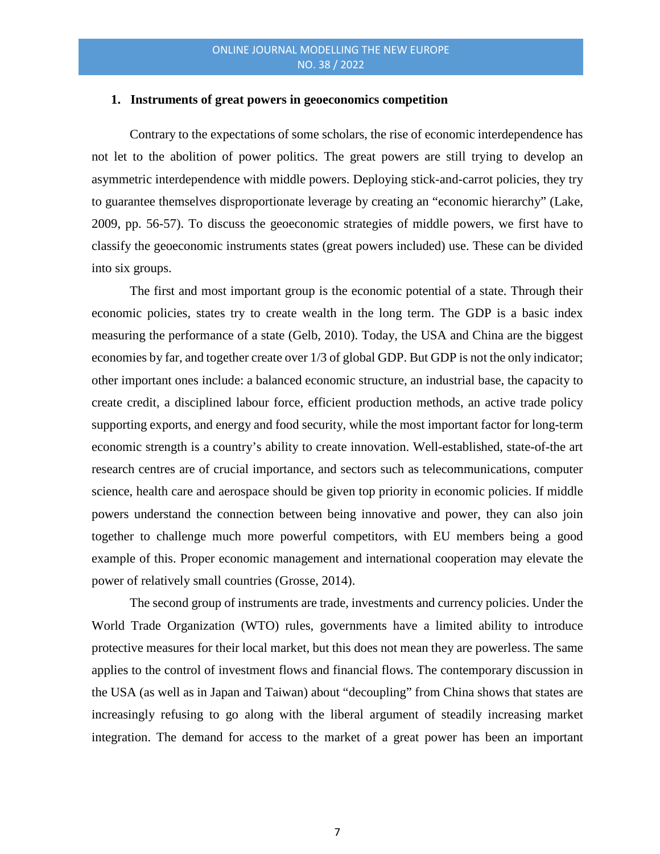#### **1. Instruments of great powers in geoeconomics competition**

Contrary to the expectations of some scholars, the rise of economic interdependence has not let to the abolition of power politics. The great powers are still trying to develop an asymmetric interdependence with middle powers. Deploying stick-and-carrot policies, they try to guarantee themselves disproportionate leverage by creating an "economic hierarchy" (Lake, 2009, pp. 56-57). To discuss the geoeconomic strategies of middle powers, we first have to classify the geoeconomic instruments states (great powers included) use. These can be divided into six groups.

The first and most important group is the economic potential of a state. Through their economic policies, states try to create wealth in the long term. The GDP is a basic index measuring the performance of a state (Gelb, 2010). Today, the USA and China are the biggest economies by far, and together create over 1/3 of global GDP. But GDP is not the only indicator; other important ones include: a balanced economic structure, an industrial base, the capacity to create credit, a disciplined labour force, efficient production methods, an active trade policy supporting exports, and energy and food security, while the most important factor for long-term economic strength is a country's ability to create innovation. Well-established, state-of-the art research centres are of crucial importance, and sectors such as telecommunications, computer science, health care and aerospace should be given top priority in economic policies. If middle powers understand the connection between being innovative and power, they can also join together to challenge much more powerful competitors, with EU members being a good example of this. Proper economic management and international cooperation may elevate the power of relatively small countries (Grosse, 2014).

The second group of instruments are trade, investments and currency policies. Under the World Trade Organization (WTO) rules, governments have a limited ability to introduce protective measures for their local market, but this does not mean they are powerless. The same applies to the control of investment flows and financial flows. The contemporary discussion in the USA (as well as in Japan and Taiwan) about "decoupling" from China shows that states are increasingly refusing to go along with the liberal argument of steadily increasing market integration. The demand for access to the market of a great power has been an important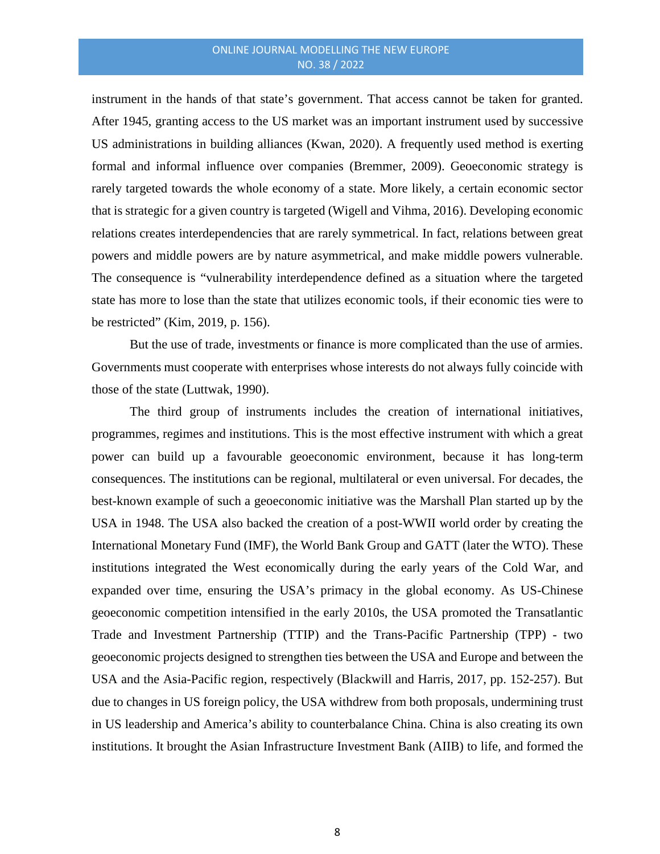instrument in the hands of that state's government. That access cannot be taken for granted. After 1945, granting access to the US market was an important instrument used by successive US administrations in building alliances (Kwan, 2020). A frequently used method is exerting formal and informal influence over companies (Bremmer, 2009). Geoeconomic strategy is rarely targeted towards the whole economy of a state. More likely, a certain economic sector that is strategic for a given country is targeted (Wigell and Vihma, 2016). Developing economic relations creates interdependencies that are rarely symmetrical. In fact, relations between great powers and middle powers are by nature asymmetrical, and make middle powers vulnerable. The consequence is "vulnerability interdependence defined as a situation where the targeted state has more to lose than the state that utilizes economic tools, if their economic ties were to be restricted" (Kim, 2019, p. 156).

But the use of trade, investments or finance is more complicated than the use of armies. Governments must cooperate with enterprises whose interests do not always fully coincide with those of the state (Luttwak, 1990).

The third group of instruments includes the creation of international initiatives, programmes, regimes and institutions. This is the most effective instrument with which a great power can build up a favourable geoeconomic environment, because it has long-term consequences. The institutions can be regional, multilateral or even universal. For decades, the best-known example of such a geoeconomic initiative was the Marshall Plan started up by the USA in 1948. The USA also backed the creation of a post-WWII world order by creating the International Monetary Fund (IMF), the World Bank Group and GATT (later the WTO). These institutions integrated the West economically during the early years of the Cold War, and expanded over time, ensuring the USA's primacy in the global economy. As US-Chinese geoeconomic competition intensified in the early 2010s, the USA promoted the Transatlantic Trade and Investment Partnership (TTIP) and the Trans-Pacific Partnership (TPP) - two geoeconomic projects designed to strengthen ties between the USA and Europe and between the USA and the Asia-Pacific region, respectively (Blackwill and Harris, 2017, pp. 152-257). But due to changes in US foreign policy, the USA withdrew from both proposals, undermining trust in US leadership and America's ability to counterbalance China. China is also creating its own institutions. It brought the Asian Infrastructure Investment Bank (AIIB) to life, and formed the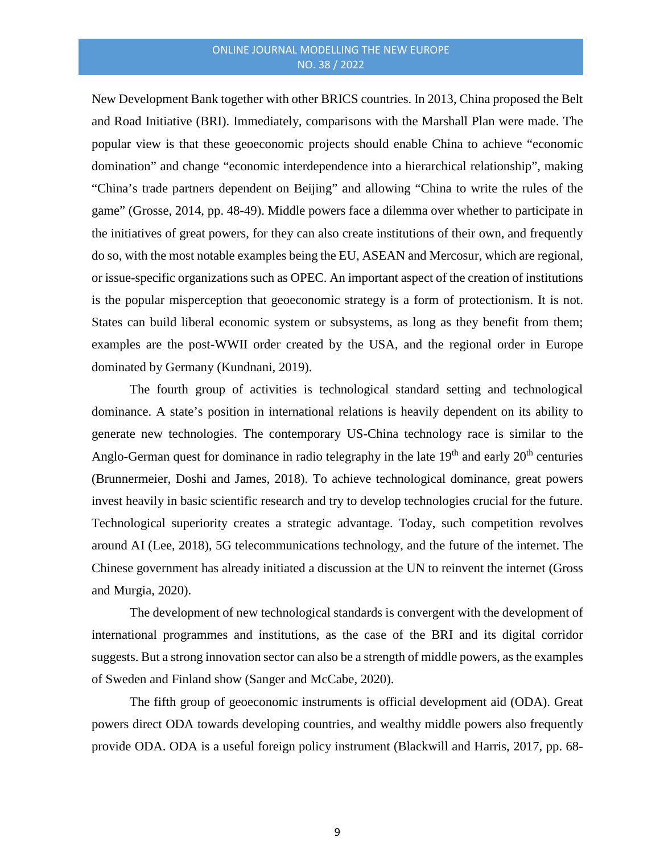New Development Bank together with other BRICS countries. In 2013, China proposed the Belt and Road Initiative (BRI). Immediately, comparisons with the Marshall Plan were made. The popular view is that these geoeconomic projects should enable China to achieve "economic domination" and change "economic interdependence into a hierarchical relationship", making "China's trade partners dependent on Beijing" and allowing "China to write the rules of the game" (Grosse, 2014, pp. 48-49). Middle powers face a dilemma over whether to participate in the initiatives of great powers, for they can also create institutions of their own, and frequently do so, with the most notable examples being the EU, ASEAN and Mercosur, which are regional, or issue-specific organizations such as OPEC. An important aspect of the creation of institutions is the popular misperception that geoeconomic strategy is a form of protectionism. It is not. States can build liberal economic system or subsystems, as long as they benefit from them; examples are the post-WWII order created by the USA, and the regional order in Europe dominated by Germany (Kundnani, 2019).

The fourth group of activities is technological standard setting and technological dominance. A state's position in international relations is heavily dependent on its ability to generate new technologies. The contemporary US-China technology race is similar to the Anglo-German quest for dominance in radio telegraphy in the late  $19<sup>th</sup>$  and early  $20<sup>th</sup>$  centuries (Brunnermeier, Doshi and James, 2018). To achieve technological dominance, great powers invest heavily in basic scientific research and try to develop technologies crucial for the future. Technological superiority creates a strategic advantage. Today, such competition revolves around AI (Lee, 2018), 5G telecommunications technology, and the future of the internet. The Chinese government has already initiated a discussion at the UN to reinvent the internet (Gross and Murgia, 2020).

The development of new technological standards is convergent with the development of international programmes and institutions, as the case of the BRI and its digital corridor suggests. But a strong innovation sector can also be a strength of middle powers, as the examples of Sweden and Finland show (Sanger and McCabe, 2020).

The fifth group of geoeconomic instruments is official development aid (ODA). Great powers direct ODA towards developing countries, and wealthy middle powers also frequently provide ODA. ODA is a useful foreign policy instrument (Blackwill and Harris, 2017, pp. 68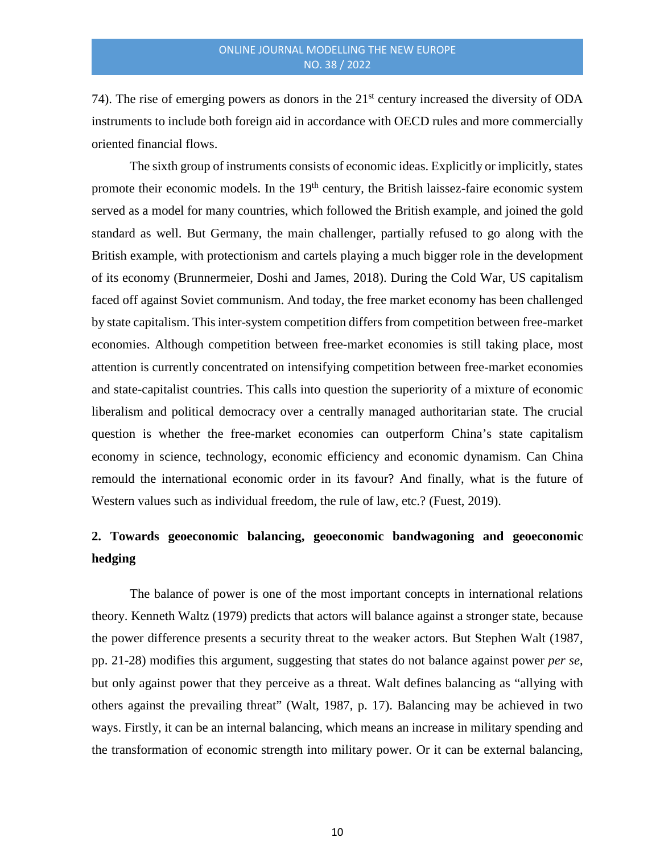74). The rise of emerging powers as donors in the 21<sup>st</sup> century increased the diversity of ODA instruments to include both foreign aid in accordance with OECD rules and more commercially oriented financial flows.

The sixth group of instruments consists of economic ideas. Explicitly or implicitly, states promote their economic models. In the 19<sup>th</sup> century, the British laissez-faire economic system served as a model for many countries, which followed the British example, and joined the gold standard as well. But Germany, the main challenger, partially refused to go along with the British example, with protectionism and cartels playing a much bigger role in the development of its economy (Brunnermeier, Doshi and James, 2018). During the Cold War, US capitalism faced off against Soviet communism. And today, the free market economy has been challenged by state capitalism. This inter-system competition differs from competition between free-market economies. Although competition between free-market economies is still taking place, most attention is currently concentrated on intensifying competition between free-market economies and state-capitalist countries. This calls into question the superiority of a mixture of economic liberalism and political democracy over a centrally managed authoritarian state. The crucial question is whether the free-market economies can outperform China's state capitalism economy in science, technology, economic efficiency and economic dynamism. Can China remould the international economic order in its favour? And finally, what is the future of Western values such as individual freedom, the rule of law, etc.? (Fuest, 2019).

# **2. Towards geoeconomic balancing, geoeconomic bandwagoning and geoeconomic hedging**

The balance of power is one of the most important concepts in international relations theory. Kenneth Waltz (1979) predicts that actors will balance against a stronger state, because the power difference presents a security threat to the weaker actors. But Stephen Walt (1987, pp. 21-28) modifies this argument, suggesting that states do not balance against power *per se*, but only against power that they perceive as a threat. Walt defines balancing as "allying with others against the prevailing threat" (Walt, 1987, p. 17). Balancing may be achieved in two ways. Firstly, it can be an internal balancing, which means an increase in military spending and the transformation of economic strength into military power. Or it can be external balancing,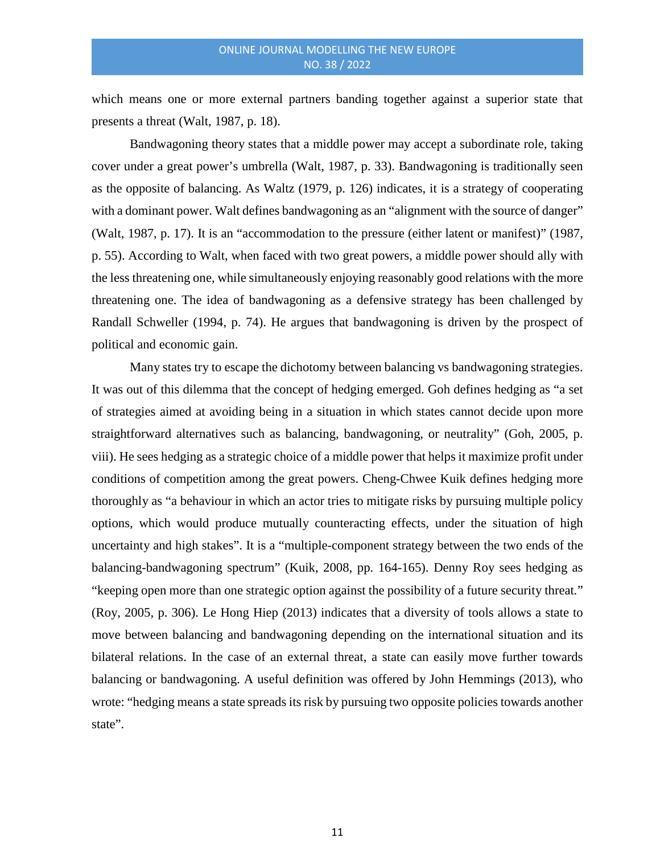which means one or more external partners banding together against a superior state that presents a threat (Walt, 1987, p. 18).

Bandwagoning theory states that a middle power may accept a subordinate role, taking cover under a great power's umbrella (Walt, 1987, p. 33). Bandwagoning is traditionally seen as the opposite of balancing. As Waltz (1979, p. 126) indicates, it is a strategy of cooperating with a dominant power. Walt defines bandwagoning as an "alignment with the source of danger" (Walt, 1987, p. 17). It is an "accommodation to the pressure (either latent or manifest)" (1987, p. 55). According to Walt, when faced with two great powers, a middle power should ally with the less threatening one, while simultaneously enjoying reasonably good relations with the more threatening one. The idea of bandwagoning as a defensive strategy has been challenged by Randall Schweller (1994, p. 74). He argues that bandwagoning is driven by the prospect of political and economic gain.

Many states try to escape the dichotomy between balancing vs bandwagoning strategies. It was out of this dilemma that the concept of hedging emerged. Goh defines hedging as "a set of strategies aimed at avoiding being in a situation in which states cannot decide upon more straightforward alternatives such as balancing, bandwagoning, or neutrality" (Goh, 2005, p. viii). He sees hedging as a strategic choice of a middle power that helps it maximize profit under conditions of competition among the great powers. Cheng-Chwee Kuik defines hedging more thoroughly as "a behaviour in which an actor tries to mitigate risks by pursuing multiple policy options, which would produce mutually counteracting effects, under the situation of high uncertainty and high stakes". It is a "multiple-component strategy between the two ends of the balancing-bandwagoning spectrum" (Kuik, 2008, pp. 164-165). Denny Roy sees hedging as "keeping open more than one strategic option against the possibility of a future security threat*.*" (Roy, 2005, p. 306). Le Hong Hiep (2013) indicates that a diversity of tools allows a state to move between balancing and bandwagoning depending on the international situation and its bilateral relations. In the case of an external threat, a state can easily move further towards balancing or bandwagoning. A useful definition was offered by John Hemmings (2013), who wrote: "hedging means a state spreads its risk by pursuing two opposite policies towards another state".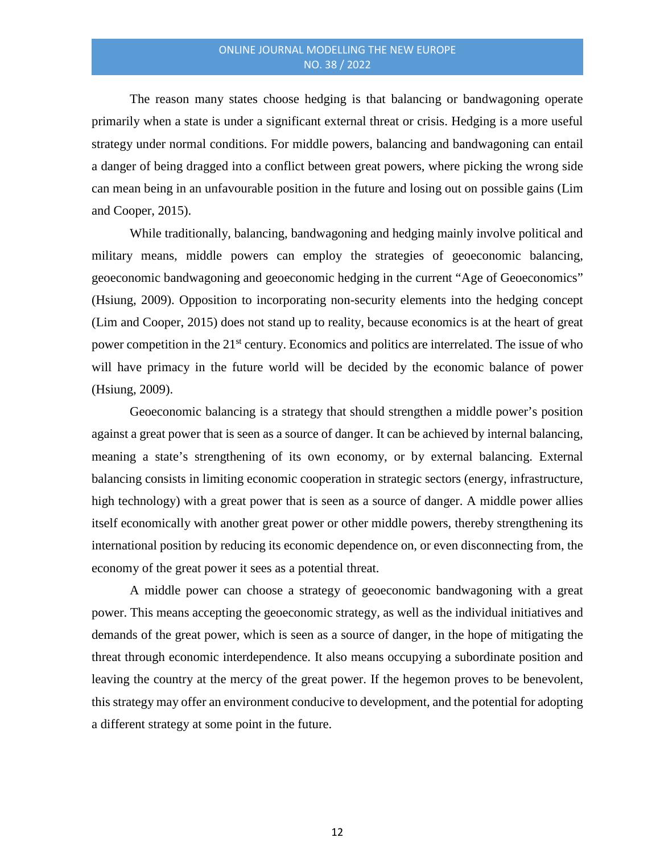The reason many states choose hedging is that balancing or bandwagoning operate primarily when a state is under a significant external threat or crisis. Hedging is a more useful strategy under normal conditions. For middle powers, balancing and bandwagoning can entail a danger of being dragged into a conflict between great powers, where picking the wrong side can mean being in an unfavourable position in the future and losing out on possible gains (Lim and Cooper, 2015).

While traditionally, balancing, bandwagoning and hedging mainly involve political and military means, middle powers can employ the strategies of geoeconomic balancing, geoeconomic bandwagoning and geoeconomic hedging in the current "Age of Geoeconomics" (Hsiung, 2009). Opposition to incorporating non-security elements into the hedging concept (Lim and Cooper, 2015) does not stand up to reality, because economics is at the heart of great power competition in the 21<sup>st</sup> century. Economics and politics are interrelated. The issue of who will have primacy in the future world will be decided by the economic balance of power (Hsiung, 2009).

Geoeconomic balancing is a strategy that should strengthen a middle power's position against a great power that is seen as a source of danger. It can be achieved by internal balancing, meaning a state's strengthening of its own economy, or by external balancing. External balancing consists in limiting economic cooperation in strategic sectors (energy, infrastructure, high technology) with a great power that is seen as a source of danger. A middle power allies itself economically with another great power or other middle powers, thereby strengthening its international position by reducing its economic dependence on, or even disconnecting from, the economy of the great power it sees as a potential threat.

A middle power can choose a strategy of geoeconomic bandwagoning with a great power. This means accepting the geoeconomic strategy, as well as the individual initiatives and demands of the great power, which is seen as a source of danger, in the hope of mitigating the threat through economic interdependence. It also means occupying a subordinate position and leaving the country at the mercy of the great power. If the hegemon proves to be benevolent, this strategy may offer an environment conducive to development, and the potential for adopting a different strategy at some point in the future.

12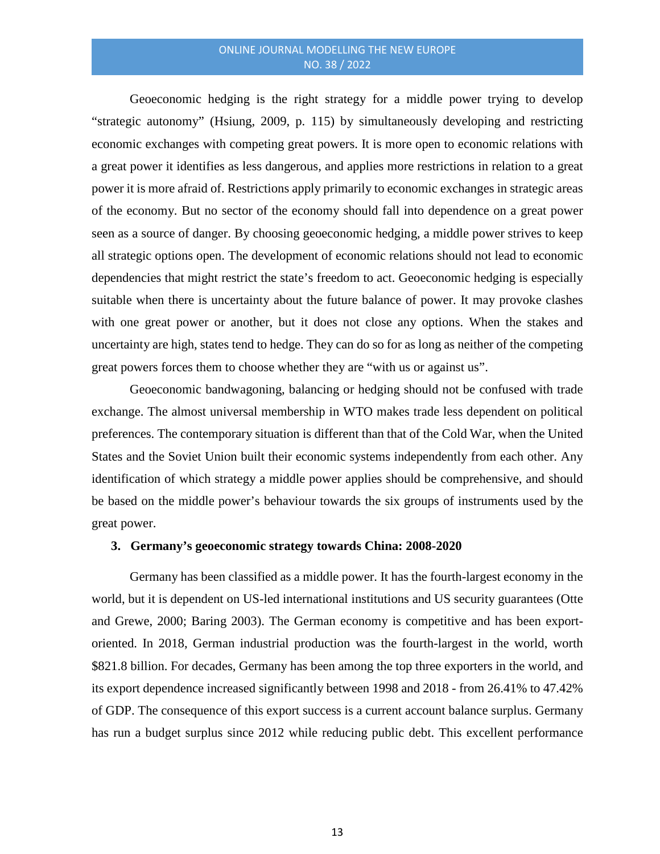Geoeconomic hedging is the right strategy for a middle power trying to develop "strategic autonomy" (Hsiung, 2009, p. 115) by simultaneously developing and restricting economic exchanges with competing great powers. It is more open to economic relations with a great power it identifies as less dangerous, and applies more restrictions in relation to a great power it is more afraid of. Restrictions apply primarily to economic exchanges in strategic areas of the economy. But no sector of the economy should fall into dependence on a great power seen as a source of danger. By choosing geoeconomic hedging, a middle power strives to keep all strategic options open. The development of economic relations should not lead to economic dependencies that might restrict the state's freedom to act. Geoeconomic hedging is especially suitable when there is uncertainty about the future balance of power. It may provoke clashes with one great power or another, but it does not close any options. When the stakes and uncertainty are high, states tend to hedge. They can do so for as long as neither of the competing great powers forces them to choose whether they are "with us or against us".

Geoeconomic bandwagoning, balancing or hedging should not be confused with trade exchange. The almost universal membership in WTO makes trade less dependent on political preferences. The contemporary situation is different than that of the Cold War, when the United States and the Soviet Union built their economic systems independently from each other. Any identification of which strategy a middle power applies should be comprehensive, and should be based on the middle power's behaviour towards the six groups of instruments used by the great power.

## **3. Germany's geoeconomic strategy towards China: 2008-2020**

Germany has been classified as a middle power. It has the fourth-largest economy in the world, but it is dependent on US-led international institutions and US security guarantees (Otte and Grewe, 2000; Baring 2003). The German economy is competitive and has been exportoriented. In 2018, German industrial production was the fourth-largest in the world, worth \$821.8 billion. For decades, Germany has been among the top three exporters in the world, and its export dependence increased significantly between 1998 and 2018 - from 26.41% to 47.42% of GDP. The consequence of this export success is a current account balance surplus. Germany has run a budget surplus since 2012 while reducing public debt. This excellent performance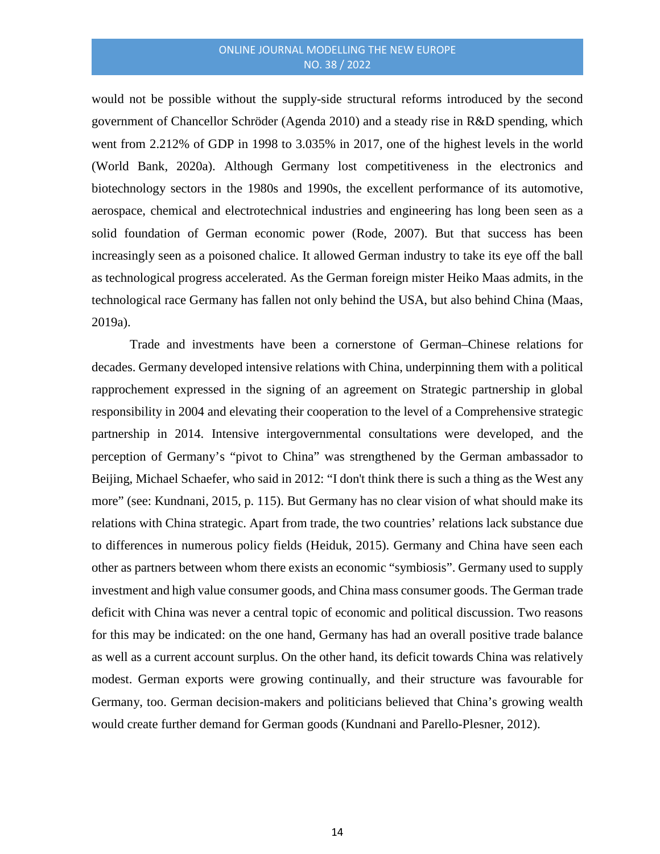would not be possible without the supply-side structural reforms introduced by the second government of Chancellor Schröder (Agenda 2010) and a steady rise in R&D spending, which went from 2.212% of GDP in 1998 to 3.035% in 2017, one of the highest levels in the world (World Bank, 2020a). Although Germany lost competitiveness in the electronics and biotechnology sectors in the 1980s and 1990s, the excellent performance of its automotive, aerospace, chemical and electrotechnical industries and engineering has long been seen as a solid foundation of German economic power (Rode, 2007). But that success has been increasingly seen as a poisoned chalice. It allowed German industry to take its eye off the ball as technological progress accelerated. As the German foreign mister Heiko Maas admits, in the technological race Germany has fallen not only behind the USA, but also behind China (Maas, 2019a).

Trade and investments have been a cornerstone of German–Chinese relations for decades. Germany developed intensive relations with China, underpinning them with a political rapprochement expressed in the signing of an agreement on Strategic partnership in global responsibility in 2004 and elevating their cooperation to the level of a Comprehensive strategic partnership in 2014. Intensive intergovernmental consultations were developed, and the perception of Germany's "pivot to China" was strengthened by the German ambassador to Beijing, Michael Schaefer, who said in 2012: "I don't think there is such a thing as the West any more" (see: Kundnani, 2015, p. 115). But Germany has no clear vision of what should make its relations with China strategic. Apart from trade, the two countries' relations lack substance due to differences in numerous policy fields (Heiduk, 2015). Germany and China have seen each other as partners between whom there exists an economic "symbiosis". Germany used to supply investment and high value consumer goods, and China mass consumer goods. The German trade deficit with China was never a central topic of economic and political discussion. Two reasons for this may be indicated: on the one hand, Germany has had an overall positive trade balance as well as a current account surplus. On the other hand, its deficit towards China was relatively modest. German exports were growing continually, and their structure was favourable for Germany, too. German decision-makers and politicians believed that China's growing wealth would create further demand for German goods (Kundnani and Parello-Plesner, 2012).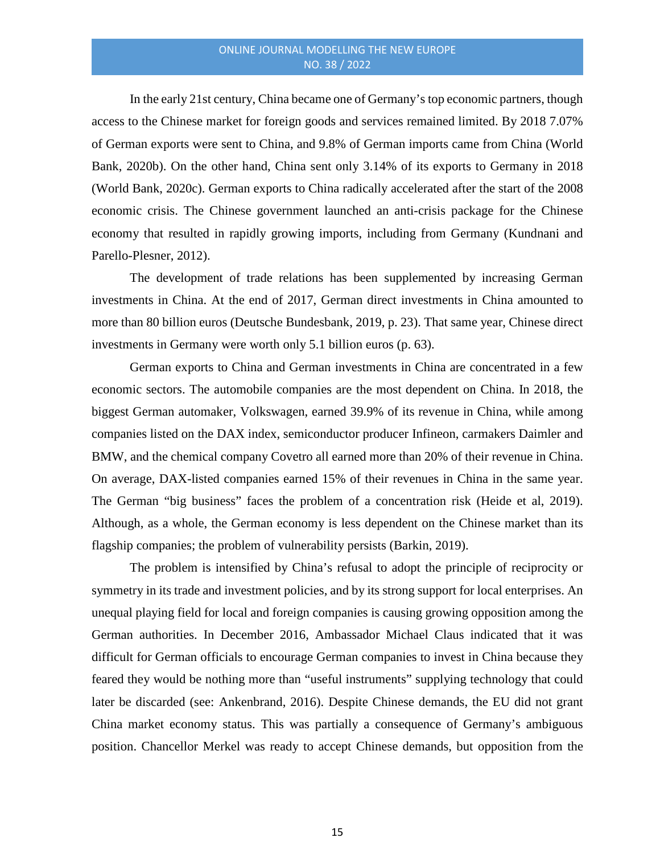In the early 21st century, China became one of Germany's top economic partners, though access to the Chinese market for foreign goods and services remained limited. By 2018 7.07% of German exports were sent to China, and 9.8% of German imports came from China (World Bank, 2020b). On the other hand, China sent only 3.14% of its exports to Germany in 2018 (World Bank, 2020c). German exports to China radically accelerated after the start of the 2008 economic crisis. The Chinese government launched an anti-crisis package for the Chinese economy that resulted in rapidly growing imports, including from Germany (Kundnani and Parello-Plesner, 2012).

The development of trade relations has been supplemented by increasing German investments in China. At the end of 2017, German direct investments in China amounted to more than 80 billion euros (Deutsche Bundesbank, 2019, p. 23). That same year, Chinese direct investments in Germany were worth only 5.1 billion euros (p. 63).

German exports to China and German investments in China are concentrated in a few economic sectors. The automobile companies are the most dependent on China. In 2018, the biggest German automaker, Volkswagen, earned 39.9% of its revenue in China, while among companies listed on the DAX index, semiconductor producer Infineon, carmakers Daimler and BMW, and the chemical company Covetro all earned more than 20% of their revenue in China. On average, DAX-listed companies earned 15% of their revenues in China in the same year. The German "big business" faces the problem of a concentration risk (Heide et al, 2019). Although, as a whole, the German economy is less dependent on the Chinese market than its flagship companies; the problem of vulnerability persists (Barkin, 2019).

The problem is intensified by China's refusal to adopt the principle of reciprocity or symmetry in its trade and investment policies, and by its strong support for local enterprises. An unequal playing field for local and foreign companies is causing growing opposition among the German authorities. In December 2016, Ambassador Michael Claus indicated that it was difficult for German officials to encourage German companies to invest in China because they feared they would be nothing more than "useful instruments" supplying technology that could later be discarded (see: Ankenbrand, 2016). Despite Chinese demands, the EU did not grant China market economy status. This was partially a consequence of Germany's ambiguous position. Chancellor Merkel was ready to accept Chinese demands, but opposition from the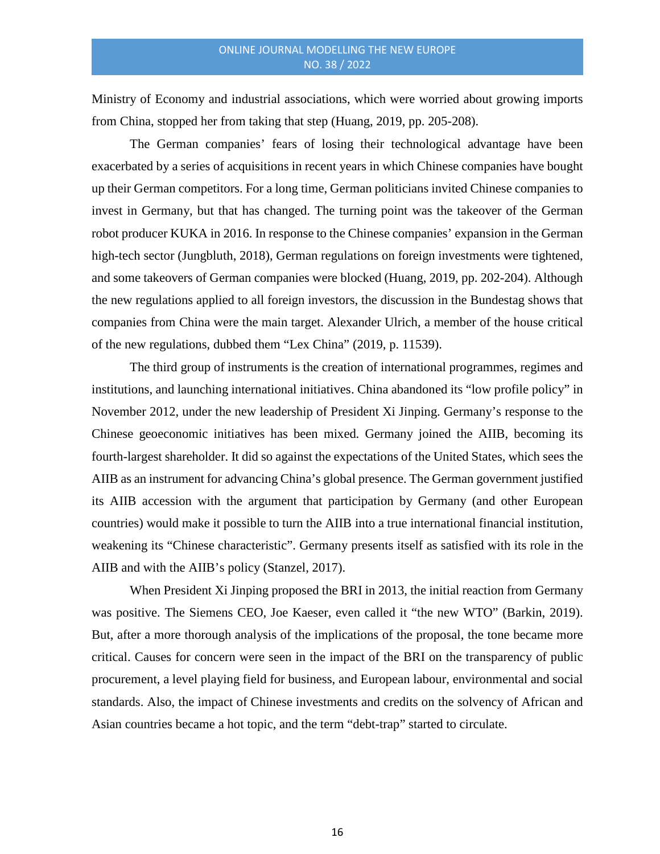Ministry of Economy and industrial associations, which were worried about growing imports from China, stopped her from taking that step (Huang, 2019, pp. 205-208).

The German companies' fears of losing their technological advantage have been exacerbated by a series of acquisitions in recent years in which Chinese companies have bought up their German competitors. For a long time, German politicians invited Chinese companies to invest in Germany, but that has changed. The turning point was the takeover of the German robot producer KUKA in 2016. In response to the Chinese companies' expansion in the German high-tech sector (Jungbluth, 2018), German regulations on foreign investments were tightened, and some takeovers of German companies were blocked (Huang, 2019, pp. 202-204). Although the new regulations applied to all foreign investors, the discussion in the Bundestag shows that companies from China were the main target. Alexander Ulrich, a member of the house critical of the new regulations, dubbed them "Lex China" (2019, p. 11539).

The third group of instruments is the creation of international programmes, regimes and institutions, and launching international initiatives. China abandoned its "low profile policy" in November 2012, under the new leadership of President Xi Jinping. Germany's response to the Chinese geoeconomic initiatives has been mixed. Germany joined the AIIB, becoming its fourth-largest shareholder. It did so against the expectations of the United States, which sees the AIIB as an instrument for advancing China's global presence. The German government justified its AIIB accession with the argument that participation by Germany (and other European countries) would make it possible to turn the AIIB into a true international financial institution, weakening its "Chinese characteristic". Germany presents itself as satisfied with its role in the AIIB and with the AIIB's policy (Stanzel, 2017).

When President Xi Jinping proposed the BRI in 2013, the initial reaction from Germany was positive. The Siemens CEO, Joe Kaeser, even called it "the new WTO" (Barkin, 2019). But, after a more thorough analysis of the implications of the proposal, the tone became more critical. Causes for concern were seen in the impact of the BRI on the transparency of public procurement, a level playing field for business, and European labour, environmental and social standards. Also, the impact of Chinese investments and credits on the solvency of African and Asian countries became a hot topic, and the term "debt-trap" started to circulate.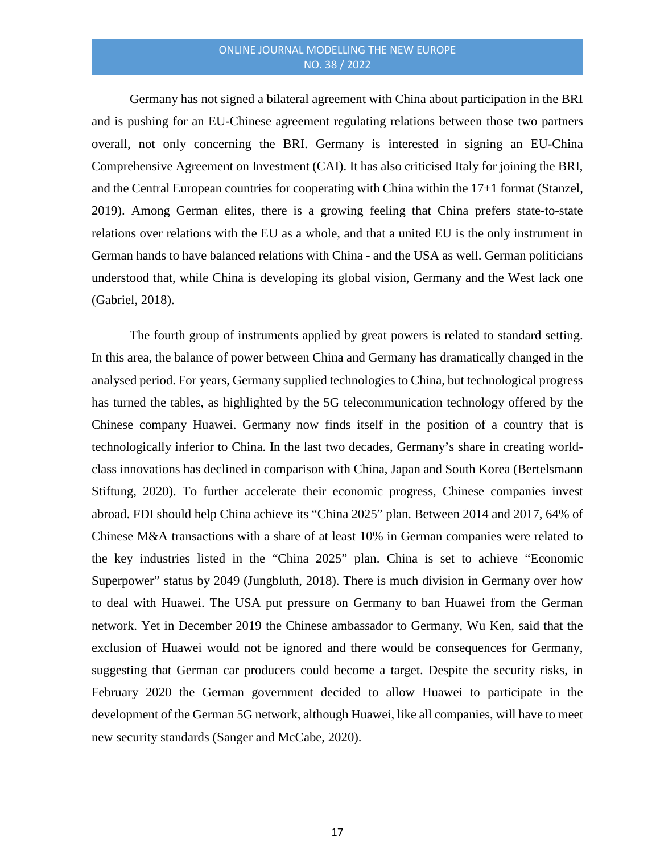Germany has not signed a bilateral agreement with China about participation in the BRI and is pushing for an EU-Chinese agreement regulating relations between those two partners overall, not only concerning the BRI. Germany is interested in signing an EU-China Comprehensive Agreement on Investment (CAI). It has also criticised Italy for joining the BRI, and the Central European countries for cooperating with China within the 17+1 format (Stanzel, 2019). Among German elites, there is a growing feeling that China prefers state-to-state relations over relations with the EU as a whole, and that a united EU is the only instrument in German hands to have balanced relations with China - and the USA as well. German politicians understood that, while China is developing its global vision, Germany and the West lack one (Gabriel, 2018).

The fourth group of instruments applied by great powers is related to standard setting. In this area, the balance of power between China and Germany has dramatically changed in the analysed period. For years, Germany supplied technologies to China, but technological progress has turned the tables, as highlighted by the 5G telecommunication technology offered by the Chinese company Huawei. Germany now finds itself in the position of a country that is technologically inferior to China. In the last two decades, Germany's share in creating worldclass innovations has declined in comparison with China, Japan and South Korea (Bertelsmann Stiftung, 2020). To further accelerate their economic progress, Chinese companies invest abroad. FDI should help China achieve its "China 2025" plan. Between 2014 and 2017, 64% of Chinese M&A transactions with a share of at least 10% in German companies were related to the key industries listed in the "China 2025" plan. China is set to achieve "Economic Superpower" status by 2049 (Jungbluth, 2018). There is much division in Germany over how to deal with Huawei. The USA put pressure on Germany to ban Huawei from the German network. Yet in December 2019 the Chinese ambassador to Germany, Wu Ken, said that the exclusion of Huawei would not be ignored and there would be consequences for Germany, suggesting that German car producers could become a target. Despite the security risks, in February 2020 the German government decided to allow Huawei to participate in the development of the German 5G network, although Huawei, like all companies, will have to meet new security standards (Sanger and McCabe, 2020).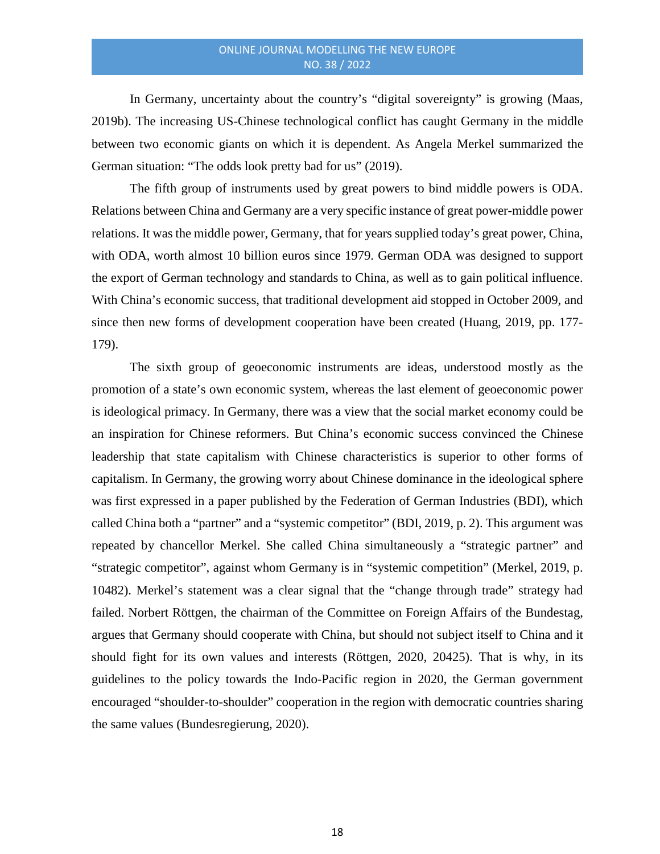In Germany, uncertainty about the country's "digital sovereignty" is growing (Maas, 2019b). The increasing US-Chinese technological conflict has caught Germany in the middle between two economic giants on which it is dependent. As Angela Merkel summarized the German situation: "The odds look pretty bad for us" (2019).

The fifth group of instruments used by great powers to bind middle powers is ODA. Relations between China and Germany are a very specific instance of great power-middle power relations. It was the middle power, Germany, that for years supplied today's great power, China, with ODA, worth almost 10 billion euros since 1979. German ODA was designed to support the export of German technology and standards to China, as well as to gain political influence. With China's economic success, that traditional development aid stopped in October 2009, and since then new forms of development cooperation have been created (Huang, 2019, pp. 177- 179).

The sixth group of geoeconomic instruments are ideas, understood mostly as the promotion of a state's own economic system, whereas the last element of geoeconomic power is ideological primacy. In Germany, there was a view that the social market economy could be an inspiration for Chinese reformers. But China's economic success convinced the Chinese leadership that state capitalism with Chinese characteristics is superior to other forms of capitalism. In Germany, the growing worry about Chinese dominance in the ideological sphere was first expressed in a paper published by the Federation of German Industries (BDI), which called China both a "partner" and a "systemic competitor" (BDI, 2019, p. 2). This argument was repeated by chancellor Merkel. She called China simultaneously a "strategic partner" and "strategic competitor", against whom Germany is in "systemic competition" (Merkel, 2019, p. 10482). Merkel's statement was a clear signal that the "change through trade" strategy had failed. Norbert Röttgen, the chairman of the Committee on Foreign Affairs of the Bundestag, argues that Germany should cooperate with China, but should not subject itself to China and it should fight for its own values and interests (Röttgen, 2020, 20425). That is why, in its guidelines to the policy towards the Indo-Pacific region in 2020, the German government encouraged "shoulder-to-shoulder" cooperation in the region with democratic countries sharing the same values (Bundesregierung, 2020).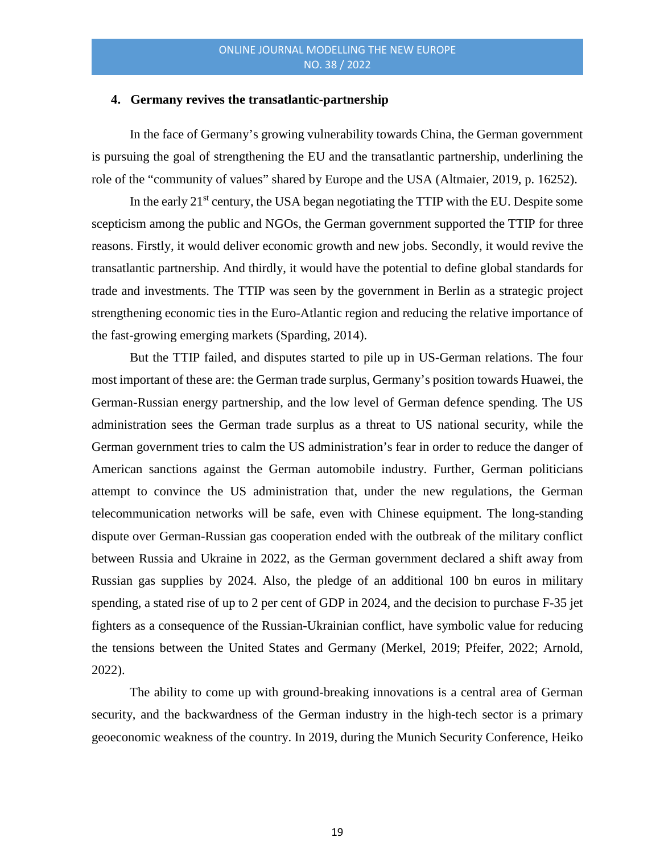#### **4. Germany revives the transatlantic-partnership**

In the face of Germany's growing vulnerability towards China, the German government is pursuing the goal of strengthening the EU and the transatlantic partnership, underlining the role of the "community of values" shared by Europe and the USA (Altmaier, 2019, p. 16252).

In the early  $21<sup>st</sup>$  century, the USA began negotiating the TTIP with the EU. Despite some scepticism among the public and NGOs, the German government supported the TTIP for three reasons. Firstly, it would deliver economic growth and new jobs. Secondly, it would revive the transatlantic partnership. And thirdly, it would have the potential to define global standards for trade and investments. The TTIP was seen by the government in Berlin as a strategic project strengthening economic ties in the Euro-Atlantic region and reducing the relative importance of the fast-growing emerging markets (Sparding, 2014).

But the TTIP failed, and disputes started to pile up in US-German relations. The four most important of these are: the German trade surplus, Germany's position towards Huawei, the German-Russian energy partnership, and the low level of German defence spending. The US administration sees the German trade surplus as a threat to US national security, while the German government tries to calm the US administration's fear in order to reduce the danger of American sanctions against the German automobile industry. Further, German politicians attempt to convince the US administration that, under the new regulations, the German telecommunication networks will be safe, even with Chinese equipment. The long-standing dispute over German-Russian gas cooperation ended with the outbreak of the military conflict between Russia and Ukraine in 2022, as the German government declared a shift away from Russian gas supplies by 2024. Also, the pledge of an additional 100 bn euros in military spending, a stated rise of up to 2 per cent of GDP in 2024, and the decision to purchase F-35 jet fighters as a consequence of the Russian-Ukrainian conflict, have symbolic value for reducing the tensions between the United States and Germany (Merkel, 2019; Pfeifer, 2022; Arnold, 2022).

The ability to come up with ground-breaking innovations is a central area of German security, and the backwardness of the German industry in the high-tech sector is a primary geoeconomic weakness of the country. In 2019, during the Munich Security Conference, Heiko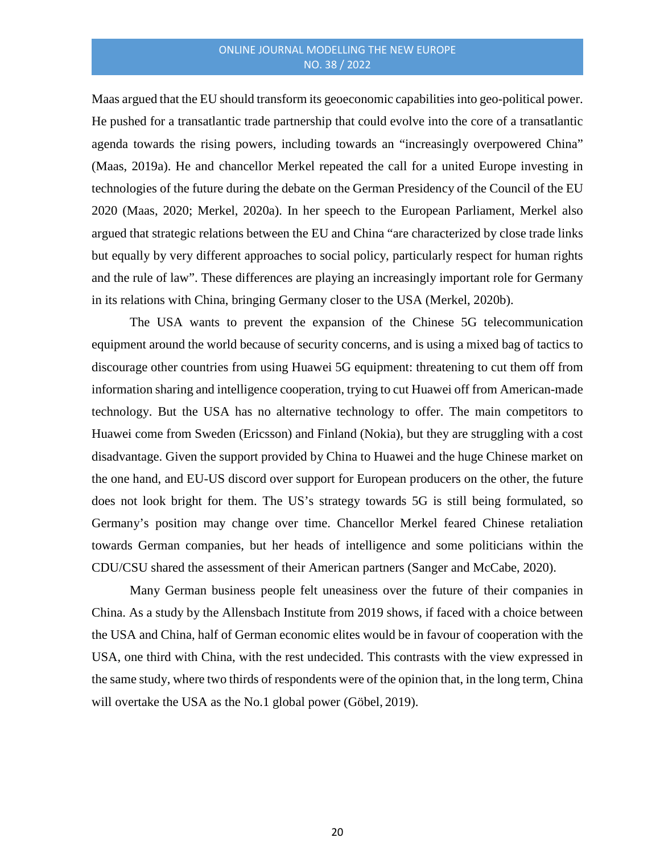Maas argued that the EU should transform its geoeconomic capabilities into geo-political power. He pushed for a transatlantic trade partnership that could evolve into the core of a transatlantic agenda towards the rising powers, including towards an "increasingly overpowered China" (Maas, 2019a). He and chancellor Merkel repeated the call for a united Europe investing in technologies of the future during the debate on the German Presidency of the Council of the EU 2020 (Maas, 2020; Merkel, 2020a). In her speech to the European Parliament, Merkel also argued that strategic relations between the EU and China "are characterized by close trade links but equally by very different approaches to social policy, particularly respect for human rights and the rule of law". These differences are playing an increasingly important role for Germany in its relations with China, bringing Germany closer to the USA (Merkel, 2020b).

The USA wants to prevent the expansion of the Chinese 5G telecommunication equipment around the world because of security concerns, and is using a mixed bag of tactics to discourage other countries from using Huawei 5G equipment: threatening to cut them off from information sharing and intelligence cooperation, trying to cut Huawei off from American-made technology. But the USA has no alternative technology to offer. The main competitors to Huawei come from Sweden (Ericsson) and Finland (Nokia), but they are struggling with a cost disadvantage. Given the support provided by China to Huawei and the huge Chinese market on the one hand, and EU-US discord over support for European producers on the other, the future does not look bright for them. The US's strategy towards 5G is still being formulated, so Germany's position may change over time. Chancellor Merkel feared Chinese retaliation towards German companies, but her heads of intelligence and some politicians within the CDU/CSU shared the assessment of their American partners (Sanger and McCabe, 2020).

Many German business people felt uneasiness over the future of their companies in China. As a study by the Allensbach Institute from 2019 shows, if faced with a choice between the USA and China, half of German economic elites would be in favour of cooperation with the USA, one third with China, with the rest undecided. This contrasts with the view expressed in the same study, where two thirds of respondents were of the opinion that, in the long term, China will overtake the USA as the No.1 global power (Göbel, 2019).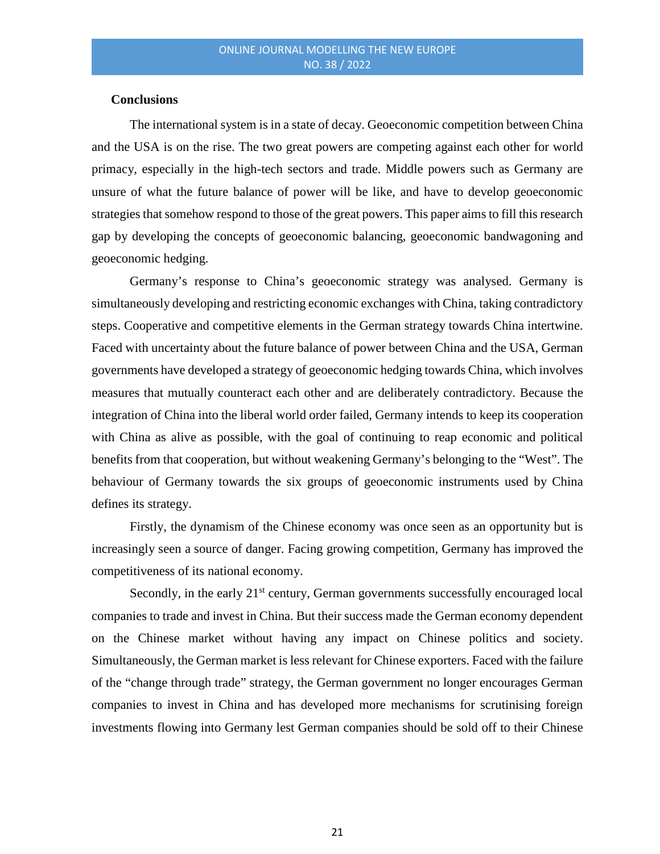#### **Conclusions**

The international system is in a state of decay. Geoeconomic competition between China and the USA is on the rise. The two great powers are competing against each other for world primacy, especially in the high-tech sectors and trade. Middle powers such as Germany are unsure of what the future balance of power will be like, and have to develop geoeconomic strategies that somehow respond to those of the great powers. This paper aims to fill this research gap by developing the concepts of geoeconomic balancing, geoeconomic bandwagoning and geoeconomic hedging.

Germany's response to China's geoeconomic strategy was analysed. Germany is simultaneously developing and restricting economic exchanges with China, taking contradictory steps. Cooperative and competitive elements in the German strategy towards China intertwine. Faced with uncertainty about the future balance of power between China and the USA, German governments have developed a strategy of geoeconomic hedging towards China, which involves measures that mutually counteract each other and are deliberately contradictory. Because the integration of China into the liberal world order failed, Germany intends to keep its cooperation with China as alive as possible, with the goal of continuing to reap economic and political benefits from that cooperation, but without weakening Germany's belonging to the "West". The behaviour of Germany towards the six groups of geoeconomic instruments used by China defines its strategy.

Firstly, the dynamism of the Chinese economy was once seen as an opportunity but is increasingly seen a source of danger. Facing growing competition, Germany has improved the competitiveness of its national economy.

Secondly, in the early 21<sup>st</sup> century, German governments successfully encouraged local companies to trade and invest in China. But their success made the German economy dependent on the Chinese market without having any impact on Chinese politics and society. Simultaneously, the German market is less relevant for Chinese exporters. Faced with the failure of the "change through trade" strategy, the German government no longer encourages German companies to invest in China and has developed more mechanisms for scrutinising foreign investments flowing into Germany lest German companies should be sold off to their Chinese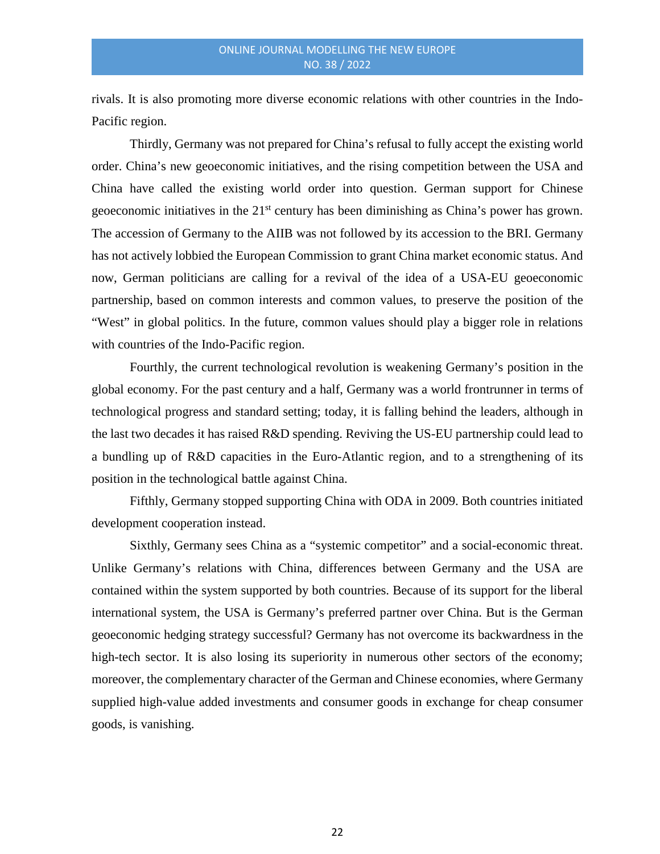rivals. It is also promoting more diverse economic relations with other countries in the Indo-Pacific region.

Thirdly, Germany was not prepared for China's refusal to fully accept the existing world order. China's new geoeconomic initiatives, and the rising competition between the USA and China have called the existing world order into question. German support for Chinese geoeconomic initiatives in the  $21<sup>st</sup>$  century has been diminishing as China's power has grown. The accession of Germany to the AIIB was not followed by its accession to the BRI. Germany has not actively lobbied the European Commission to grant China market economic status. And now, German politicians are calling for a revival of the idea of a USA-EU geoeconomic partnership, based on common interests and common values, to preserve the position of the "West" in global politics. In the future, common values should play a bigger role in relations with countries of the Indo-Pacific region.

Fourthly, the current technological revolution is weakening Germany's position in the global economy. For the past century and a half, Germany was a world frontrunner in terms of technological progress and standard setting; today, it is falling behind the leaders, although in the last two decades it has raised R&D spending. Reviving the US-EU partnership could lead to a bundling up of R&D capacities in the Euro-Atlantic region, and to a strengthening of its position in the technological battle against China.

Fifthly, Germany stopped supporting China with ODA in 2009. Both countries initiated development cooperation instead.

Sixthly, Germany sees China as a "systemic competitor" and a social-economic threat. Unlike Germany's relations with China, differences between Germany and the USA are contained within the system supported by both countries. Because of its support for the liberal international system, the USA is Germany's preferred partner over China. But is the German geoeconomic hedging strategy successful? Germany has not overcome its backwardness in the high-tech sector. It is also losing its superiority in numerous other sectors of the economy; moreover, the complementary character of the German and Chinese economies, where Germany supplied high-value added investments and consumer goods in exchange for cheap consumer goods, is vanishing.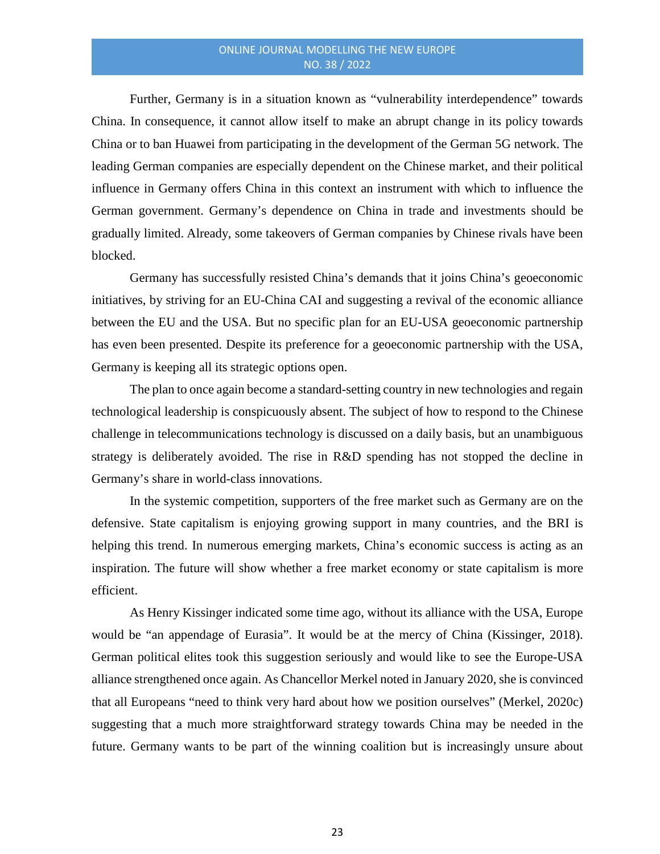Further, Germany is in a situation known as "vulnerability interdependence" towards China. In consequence, it cannot allow itself to make an abrupt change in its policy towards China or to ban Huawei from participating in the development of the German 5G network. The leading German companies are especially dependent on the Chinese market, and their political influence in Germany offers China in this context an instrument with which to influence the German government. Germany's dependence on China in trade and investments should be gradually limited. Already, some takeovers of German companies by Chinese rivals have been blocked.

Germany has successfully resisted China's demands that it joins China's geoeconomic initiatives, by striving for an EU-China CAI and suggesting a revival of the economic alliance between the EU and the USA. But no specific plan for an EU-USA geoeconomic partnership has even been presented. Despite its preference for a geoeconomic partnership with the USA, Germany is keeping all its strategic options open.

The plan to once again become a standard-setting country in new technologies and regain technological leadership is conspicuously absent. The subject of how to respond to the Chinese challenge in telecommunications technology is discussed on a daily basis, but an unambiguous strategy is deliberately avoided. The rise in R&D spending has not stopped the decline in Germany's share in world-class innovations.

In the systemic competition, supporters of the free market such as Germany are on the defensive. State capitalism is enjoying growing support in many countries, and the BRI is helping this trend. In numerous emerging markets, China's economic success is acting as an inspiration. The future will show whether a free market economy or state capitalism is more efficient.

As Henry Kissinger indicated some time ago, without its alliance with the USA, Europe would be "an appendage of Eurasia". It would be at the mercy of China (Kissinger, 2018). German political elites took this suggestion seriously and would like to see the Europe-USA alliance strengthened once again. As Chancellor Merkel noted in January 2020, she is convinced that all Europeans "need to think very hard about how we position ourselves" (Merkel, 2020c) suggesting that a much more straightforward strategy towards China may be needed in the future. Germany wants to be part of the winning coalition but is increasingly unsure about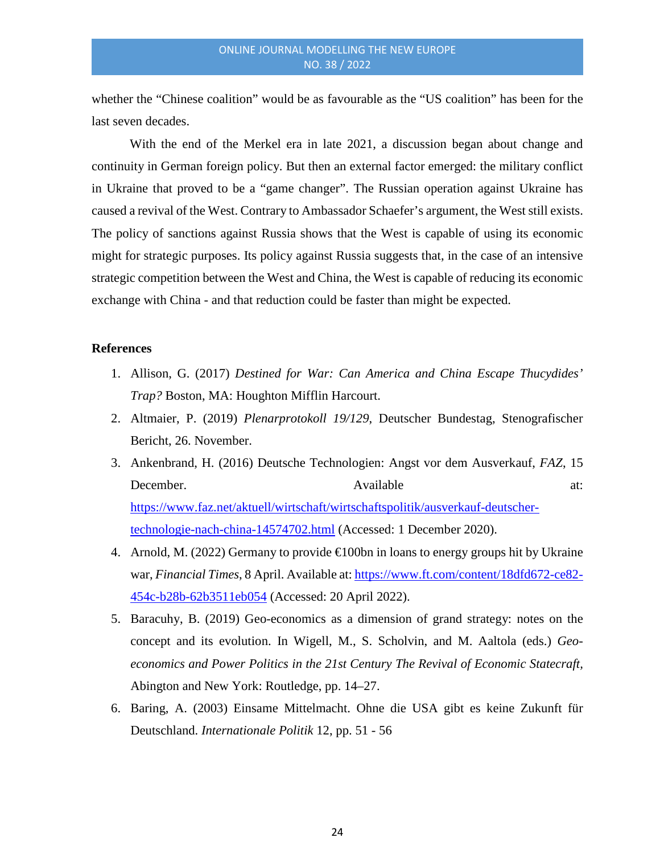whether the "Chinese coalition" would be as favourable as the "US coalition" has been for the last seven decades.

With the end of the Merkel era in late 2021, a discussion began about change and continuity in German foreign policy. But then an external factor emerged: the military conflict in Ukraine that proved to be a "game changer". The Russian operation against Ukraine has caused a revival of the West. Contrary to Ambassador Schaefer's argument, the West still exists. The policy of sanctions against Russia shows that the West is capable of using its economic might for strategic purposes. Its policy against Russia suggests that, in the case of an intensive strategic competition between the West and China, the West is capable of reducing its economic exchange with China - and that reduction could be faster than might be expected.

#### **References**

- 1. Allison, G. (2017) *Destined for War: Can America and China Escape Thucydides' Trap?* Boston, MA: Houghton Mifflin Harcourt.
- 2. Altmaier, P. (2019) *Plenarprotokoll 19/129*, Deutscher Bundestag, Stenografischer Bericht, 26. November.
- 3. Ankenbrand, H. (2016) Deutsche Technologien: Angst vor dem Ausverkauf, *FAZ*, 15 December. Available at: [https://www.faz.net/aktuell/wirtschaft/wirtschaftspolitik/ausverkauf-deutscher](https://www.faz.net/aktuell/wirtschaft/wirtschaftspolitik/ausverkauf-deutscher-technologie-nach-china-14574702.html)[technologie-nach-china-14574702.html](https://www.faz.net/aktuell/wirtschaft/wirtschaftspolitik/ausverkauf-deutscher-technologie-nach-china-14574702.html) (Accessed: 1 December 2020).
- 4. Arnold, M. (2022) Germany to provide  $\bigoplus$  00bn in loans to energy groups hit by Ukraine war, *Financial Times*, 8 April. Available at: [https://www.ft.com/content/18dfd672-ce82-](https://www.ft.com/content/18dfd672-ce82-454c-b28b-62b3511eb054) [454c-b28b-62b3511eb054](https://www.ft.com/content/18dfd672-ce82-454c-b28b-62b3511eb054) (Accessed: 20 April 2022).
- 5. Baracuhy, B. (2019) Geo-economics as a dimension of grand strategy: notes on the concept and its evolution. In Wigell, M., S. Scholvin, and M. Aaltola (eds.) *Geoeconomics and Power Politics in the 21st Century The Revival of Economic Statecraft,*  Abington and New York: Routledge, pp. 14–27.
- 6. Baring, A. (2003) Einsame Mittelmacht. Ohne die USA gibt es keine Zukunft für Deutschland. *Internationale Politik* 12, pp. 51 - 56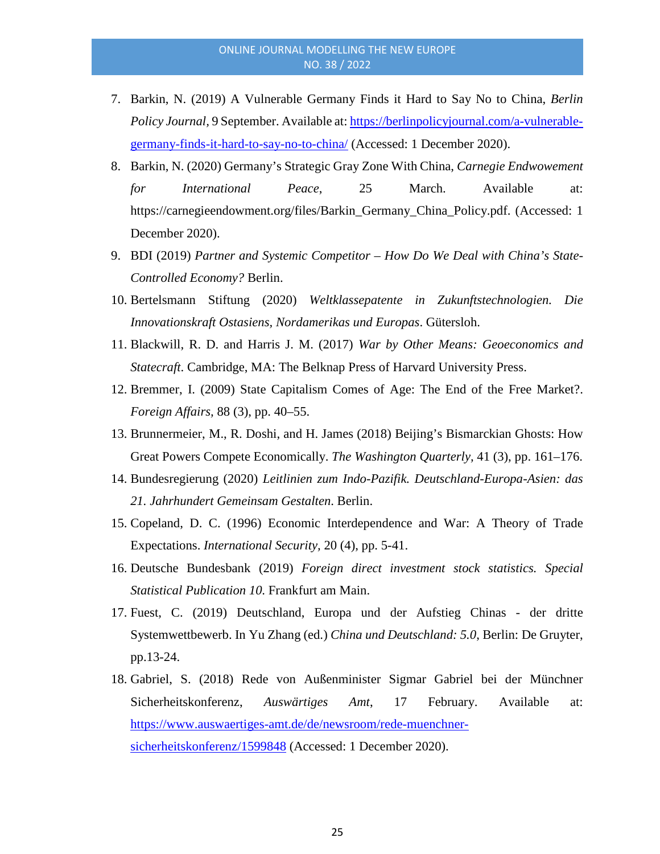- 7. Barkin, N. (2019) A Vulnerable Germany Finds it Hard to Say No to China, *Berlin Policy Journal,* 9 September. Available at: [https://berlinpolicyjournal.com/a-vulnerable](https://berlinpolicyjournal.com/a-vulnerable-germany-finds-it-hard-to-say-no-to-china/)[germany-finds-it-hard-to-say-no-to-china/](https://berlinpolicyjournal.com/a-vulnerable-germany-finds-it-hard-to-say-no-to-china/) (Accessed: 1 December 2020).
- 8. Barkin, N. (2020) Germany's Strategic Gray Zone With China, *Carnegie Endwowement for International Peace*, 25 March. Available at: https://carnegieendowment.org/files/Barkin\_Germany\_China\_Policy.pdf. (Accessed: 1 December 2020).
- 9. BDI (2019) *Partner and Systemic Competitor – How Do We Deal with China's State-Controlled Economy?* Berlin.
- 10. Bertelsmann Stiftung (2020) *Weltklassepatente in Zukunftstechnologien. Die Innovationskraft Ostasiens, Nordamerikas und Europas*. Gütersloh.
- 11. Blackwill, R. D. and Harris J. M. (2017) *War by Other Means: Geoeconomics and Statecraft*. Cambridge, MA: The Belknap Press of Harvard University Press.
- 12. Bremmer, I. (2009) State Capitalism Comes of Age: The End of the Free Market?. *Foreign Affairs,* 88 (3), pp. 40–55.
- 13. Brunnermeier, M., R. Doshi, and H. James (2018) Beijing's Bismarckian Ghosts: How Great Powers Compete Economically. *The Washington Quarterly,* 41 (3), pp. 161–176.
- 14. Bundesregierung (2020) *Leitlinien zum Indo-Pazifik. Deutschland-Europa-Asien: das 21. Jahrhundert Gemeinsam Gestalten*. Berlin.
- 15. Copeland, D. C. (1996) Economic Interdependence and War: A Theory of Trade Expectations. *International Security,* 20 (4), pp. 5-41.
- 16. Deutsche Bundesbank (2019) *Foreign direct investment stock statistics. Special Statistical Publication 10*. Frankfurt am Main.
- 17. Fuest, C. (2019) Deutschland, Europa und der Aufstieg Chinas der dritte Systemwettbewerb. In Yu Zhang (ed.) *China und Deutschland: 5.0*, Berlin: De Gruyter, pp.13-24.
- 18. Gabriel, S. (2018) Rede von Außenminister Sigmar Gabriel bei der Münchner Sicherheitskonferenz, *Auswärtiges Amt*, 17 February. Available at: [https://www.auswaertiges-amt.de/de/newsroom/rede-muenchner](https://www.auswaertiges-amt.de/de/newsroom/rede-muenchner-sicherheitskonferenz/1599848)[sicherheitskonferenz/1599848](https://www.auswaertiges-amt.de/de/newsroom/rede-muenchner-sicherheitskonferenz/1599848) (Accessed: 1 December 2020).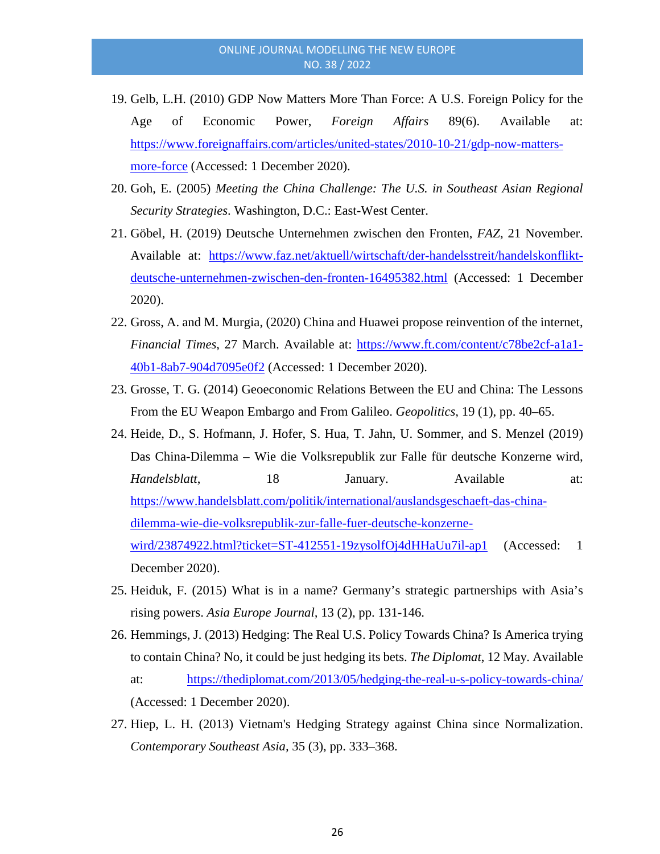- 19. Gelb, L.H. (2010) GDP Now Matters More Than Force: A U.S. Foreign Policy for the Age of Economic Power, *Foreign Affairs* 89(6). Available at: [https://www.foreignaffairs.com/articles/united-states/2010-10-21/gdp-now-matters](https://www.foreignaffairs.com/articles/united-states/2010-10-21/gdp-now-matters-more-force)[more-force](https://www.foreignaffairs.com/articles/united-states/2010-10-21/gdp-now-matters-more-force) (Accessed: 1 December 2020).
- 20. Goh, E. (2005) *Meeting the China Challenge: The U.S. in Southeast Asian Regional Security Strategies*. Washington, D.C.: East-West Center.
- 21. Göbel, H. (2019) Deutsche Unternehmen zwischen den Fronten, *FAZ*, 21 November. Available at: [https://www.faz.net/aktuell/wirtschaft/der-handelsstreit/handelskonflikt](https://www.faz.net/aktuell/wirtschaft/der-handelsstreit/handelskonflikt-deutsche-unternehmen-zwischen-den-fronten-16495382.html)[deutsche-unternehmen-zwischen-den-fronten-16495382.html](https://www.faz.net/aktuell/wirtschaft/der-handelsstreit/handelskonflikt-deutsche-unternehmen-zwischen-den-fronten-16495382.html) (Accessed: 1 December 2020).
- 22. Gross, A. and M. Murgia, (2020) China and Huawei propose reinvention of the internet, *Financial Times*, 27 March. Available at: [https://www.ft.com/content/c78be2cf-a1a1-](https://www.ft.com/content/c78be2cf-a1a1-40b1-8ab7-904d7095e0f2) [40b1-8ab7-904d7095e0f2](https://www.ft.com/content/c78be2cf-a1a1-40b1-8ab7-904d7095e0f2) (Accessed: 1 December 2020).
- 23. Grosse, T. G. (2014) Geoeconomic Relations Between the EU and China: The Lessons From the EU Weapon Embargo and From Galileo. *Geopolitics,* 19 (1), pp. 40–65.
- 24. Heide, D., S. Hofmann, J. Hofer, S. Hua, T. Jahn, U. Sommer, and S. Menzel (2019) Das China-Dilemma – Wie die Volksrepublik zur Falle für deutsche Konzerne wird, *Handelsblatt*, 18 January. Available at: [https://www.handelsblatt.com/politik/international/auslandsgeschaeft-das-china](https://www.handelsblatt.com/politik/international/auslandsgeschaeft-das-china-dilemma-wie-die-volksrepublik-zur-falle-fuer-deutsche-konzerne-wird/23874922.html?ticket=ST-412551-19zysolfOj4dHHaUu7il-ap1)[dilemma-wie-die-volksrepublik-zur-falle-fuer-deutsche-konzerne](https://www.handelsblatt.com/politik/international/auslandsgeschaeft-das-china-dilemma-wie-die-volksrepublik-zur-falle-fuer-deutsche-konzerne-wird/23874922.html?ticket=ST-412551-19zysolfOj4dHHaUu7il-ap1)[wird/23874922.html?ticket=ST-412551-19zysolfOj4dHHaUu7il-ap1](https://www.handelsblatt.com/politik/international/auslandsgeschaeft-das-china-dilemma-wie-die-volksrepublik-zur-falle-fuer-deutsche-konzerne-wird/23874922.html?ticket=ST-412551-19zysolfOj4dHHaUu7il-ap1) (Accessed: 1 December 2020).
- 25. Heiduk, F. (2015) What is in a name? Germany's strategic partnerships with Asia's rising powers. *Asia Europe Journal,* 13 (2), pp. 131-146.
- 26. Hemmings, J. (2013) Hedging: The Real U.S. Policy Towards China? Is America trying to contain China? No, it could be just hedging its bets. *The Diplomat*, 12 May. Available at: <https://thediplomat.com/2013/05/hedging-the-real-u-s-policy-towards-china/> (Accessed: 1 December 2020).
- 27. Hiep, L. H. (2013) Vietnam's Hedging Strategy against China since Normalization. *Contemporary Southeast Asia,* 35 (3), pp. 333–368.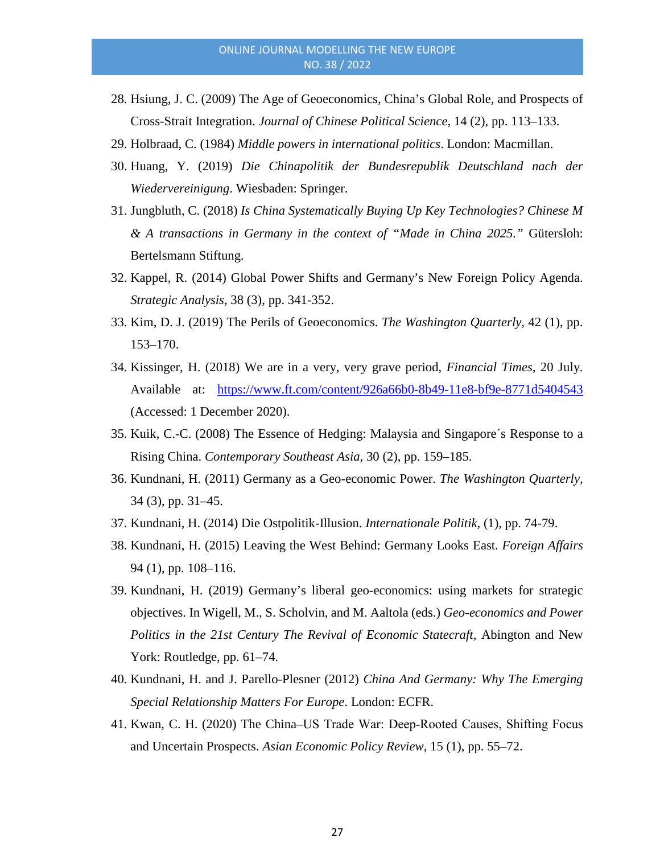- 28. Hsiung, J. C. (2009) The Age of Geoeconomics, China's Global Role, and Prospects of Cross-Strait Integration. *Journal of Chinese Political Science,* 14 (2), pp. 113–133.
- 29. Holbraad, C. (1984) *Middle powers in international politics*. London: Macmillan.
- 30. Huang, Y. (2019) *Die Chinapolitik der Bundesrepublik Deutschland nach der Wiedervereinigung*. Wiesbaden: Springer.
- 31. Jungbluth, C. (2018) *Is China Systematically Buying Up Key Technologies? Chinese M & A transactions in Germany in the context of "Made in China 2025."* Gütersloh: Bertelsmann Stiftung.
- 32. Kappel, R. (2014) Global Power Shifts and Germany's New Foreign Policy Agenda. *Strategic Analysis,* 38 (3), pp. 341-352.
- 33. Kim, D. J. (2019) The Perils of Geoeconomics. *The Washington Quarterly,* 42 (1), pp. 153–170.
- 34. Kissinger, H. (2018) We are in a very, very grave period, *Financial Times*, 20 July. Available at: <https://www.ft.com/content/926a66b0-8b49-11e8-bf9e-8771d5404543> (Accessed: 1 December 2020).
- 35. Kuik, C.-C. (2008) The Essence of Hedging: Malaysia and Singapore´s Response to a Rising China. *Contemporary Southeast Asia,* 30 (2), pp. 159–185.
- 36. Kundnani, H. (2011) Germany as a Geo-economic Power. *The Washington Quarterly,* 34 (3), pp. 31–45.
- 37. Kundnani, H. (2014) Die Ostpolitik-Illusion. *Internationale Politik,* (1), pp. 74-79.
- 38. Kundnani, H. (2015) Leaving the West Behind: Germany Looks East. *Foreign Affairs* 94 (1), pp. 108–116.
- 39. Kundnani, H. (2019) Germany's liberal geo-economics: using markets for strategic objectives. In Wigell, M., S. Scholvin, and M. Aaltola (eds.) *Geo-economics and Power Politics in the 21st Century The Revival of Economic Statecraft, Abington and New* York: Routledge, pp. 61–74.
- 40. Kundnani, H. and J. Parello-Plesner (2012) *China And Germany: Why The Emerging Special Relationship Matters For Europe*. London: ECFR.
- 41. Kwan, C. H. (2020) The China–US Trade War: Deep‐Rooted Causes, Shifting Focus and Uncertain Prospects. *Asian Economic Policy Review,* 15 (1), pp. 55–72.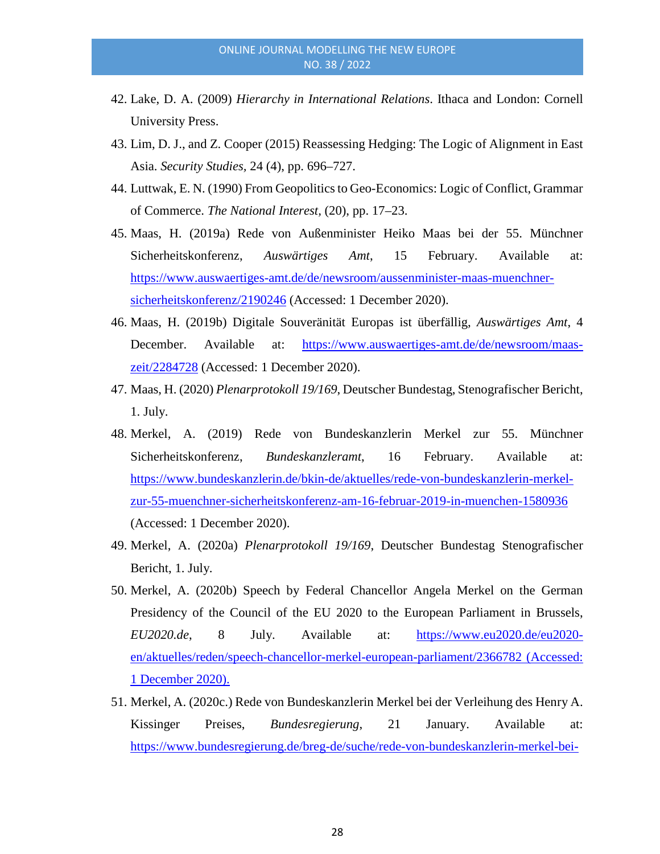- 42. Lake, D. A. (2009) *Hierarchy in International Relations*. Ithaca and London: Cornell University Press.
- 43. Lim, D. J., and Z. Cooper (2015) Reassessing Hedging: The Logic of Alignment in East Asia. *Security Studies,* 24 (4), pp. 696–727.
- 44. Luttwak, E. N. (1990) From Geopolitics to Geo-Economics: Logic of Conflict, Grammar of Commerce. *The National Interest,* (20), pp. 17–23.
- 45. Maas, H. (2019a) Rede von Außenminister Heiko Maas bei der 55. Münchner Sicherheitskonferenz, *Auswärtiges Amt*, 15 February. Available at: [https://www.auswaertiges-amt.de/de/newsroom/aussenminister-maas-muenchner](https://www.auswaertiges-amt.de/de/newsroom/aussenminister-maas-muenchner-sicherheitskonferenz/2190246)[sicherheitskonferenz/2190246](https://www.auswaertiges-amt.de/de/newsroom/aussenminister-maas-muenchner-sicherheitskonferenz/2190246) (Accessed: 1 December 2020).
- 46. Maas, H. (2019b) Digitale Souveränität Europas ist überfällig, *Auswärtiges Amt*, 4 December. Available at: [https://www.auswaertiges-amt.de/de/newsroom/maas](https://www.auswaertiges-amt.de/de/newsroom/maas-zeit/2284728)[zeit/2284728](https://www.auswaertiges-amt.de/de/newsroom/maas-zeit/2284728) (Accessed: 1 December 2020).
- 47. Maas, H. (2020) *Plenarprotokoll 19/169*, Deutscher Bundestag, Stenografischer Bericht, 1. July.
- 48. Merkel, A. (2019) Rede von Bundeskanzlerin Merkel zur 55. Münchner Sicherheitskonferenz, *Bundeskanzleramt*, 16 February. Available at: [https://www.bundeskanzlerin.de/bkin-de/aktuelles/rede-von-bundeskanzlerin-merkel](https://www.bundeskanzlerin.de/bkin-de/aktuelles/rede-von-bundeskanzlerin-merkel-zur-55-muenchner-sicherheitskonferenz-am-16-februar-2019-in-muenchen-1580936)[zur-55-muenchner-sicherheitskonferenz-am-16-februar-2019-in-muenchen-1580936](https://www.bundeskanzlerin.de/bkin-de/aktuelles/rede-von-bundeskanzlerin-merkel-zur-55-muenchner-sicherheitskonferenz-am-16-februar-2019-in-muenchen-1580936) (Accessed: 1 December 2020).
- 49. Merkel, A. (2020a) *Plenarprotokoll 19/169*, Deutscher Bundestag Stenografischer Bericht, 1. July.
- 50. Merkel, A. (2020b) Speech by Federal Chancellor Angela Merkel on the German Presidency of the Council of the EU 2020 to the European Parliament in Brussels, *EU2020.de*, 8 July. Available at: [https://www.eu2020.de/eu2020](https://www.eu2020.de/eu2020-en/aktuelles/reden/speech-chancellor-merkel-european-parliament/2366782) [en/aktuelles/reden/speech-chancellor-merkel-european-parliament/2366782](https://www.eu2020.de/eu2020-en/aktuelles/reden/speech-chancellor-merkel-european-parliament/2366782) (Accessed: 1 December 2020).
- 51. Merkel, A. (2020c.) Rede von Bundeskanzlerin Merkel bei der Verleihung des Henry A. Kissinger Preises, *Bundesregierung*, 21 January. Available at: [https://www.bundesregierung.de/breg-de/suche/rede-von-bundeskanzlerin-merkel-bei-](https://www.bundesregierung.de/breg-de/suche/rede-von-bundeskanzlerin-merkel-bei-der-verleihung-des-henry-a-kissinger-preises-am-21-januar-2020-in-berlin-1714694)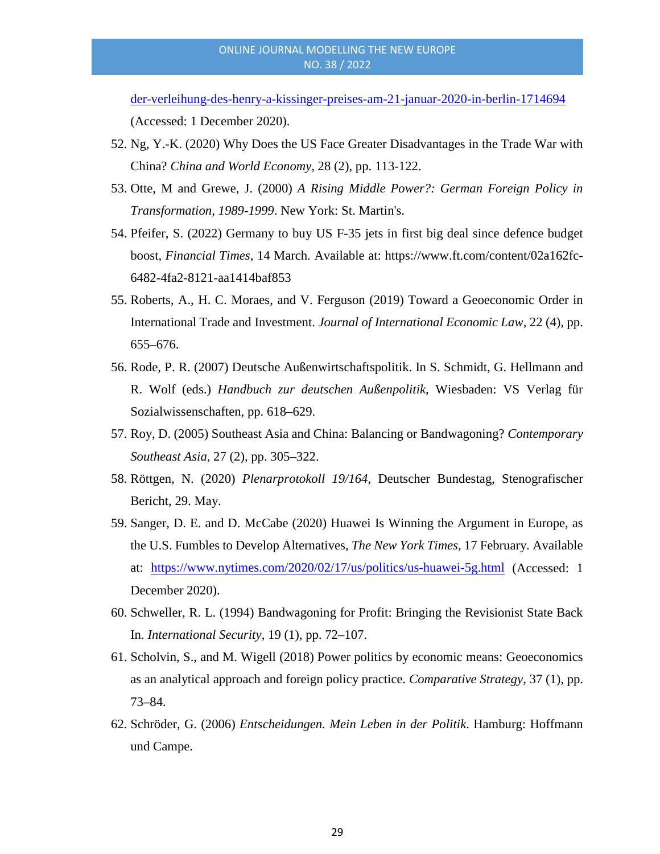[der-verleihung-des-henry-a-kissinger-preises-am-21-januar-2020-in-berlin-1714694](https://www.bundesregierung.de/breg-de/suche/rede-von-bundeskanzlerin-merkel-bei-der-verleihung-des-henry-a-kissinger-preises-am-21-januar-2020-in-berlin-1714694)

(Accessed: 1 December 2020).

- 52. Ng, Y.-K. (2020) Why Does the US Face Greater Disadvantages in the Trade War with China? *China and World Economy*, 28 (2), pp. 113-122.
- 53. Otte, M and Grewe, J. (2000) *A Rising Middle Power?: German Foreign Policy in Transformation, 1989-1999*. New York: St. Martin's.
- 54. Pfeifer, S. (2022) Germany to buy US F-35 jets in first big deal since defence budget boost, *Financial Times*, 14 March. Available at: https://www.ft.com/content/02a162fc-6482-4fa2-8121-aa1414baf853
- 55. Roberts, A., H. C. Moraes, and V. Ferguson (2019) Toward a Geoeconomic Order in International Trade and Investment. *Journal of International Economic Law,* 22 (4), pp. 655–676.
- 56. Rode, P. R. (2007) Deutsche Außenwirtschaftspolitik. In S. Schmidt, G. Hellmann and R. Wolf (eds.) *Handbuch zur deutschen Außenpolitik*, Wiesbaden: VS Verlag für Sozialwissenschaften, pp. 618–629.
- 57. Roy, D. (2005) Southeast Asia and China: Balancing or Bandwagoning? *Contemporary Southeast Asia,* 27 (2), pp. 305–322.
- 58. Röttgen, N. (2020) *Plenarprotokoll 19/164*, Deutscher Bundestag, Stenografischer Bericht, 29. May.
- 59. Sanger, D. E. and D. McCabe (2020) Huawei Is Winning the Argument in Europe, as the U.S. Fumbles to Develop Alternatives, *The New York Times,* 17 February. Available at: <https://www.nytimes.com/2020/02/17/us/politics/us-huawei-5g.html> (Accessed: 1 December 2020).
- 60. Schweller, R. L. (1994) Bandwagoning for Profit: Bringing the Revisionist State Back In. *International Security,* 19 (1), pp. 72–107.
- 61. Scholvin, S., and M. Wigell (2018) Power politics by economic means: Geoeconomics as an analytical approach and foreign policy practice. *Comparative Strategy,* 37 (1), pp. 73–84.
- 62. Schröder, G. (2006) *Entscheidungen. Mein Leben in der Politik*. Hamburg: Hoffmann und Campe.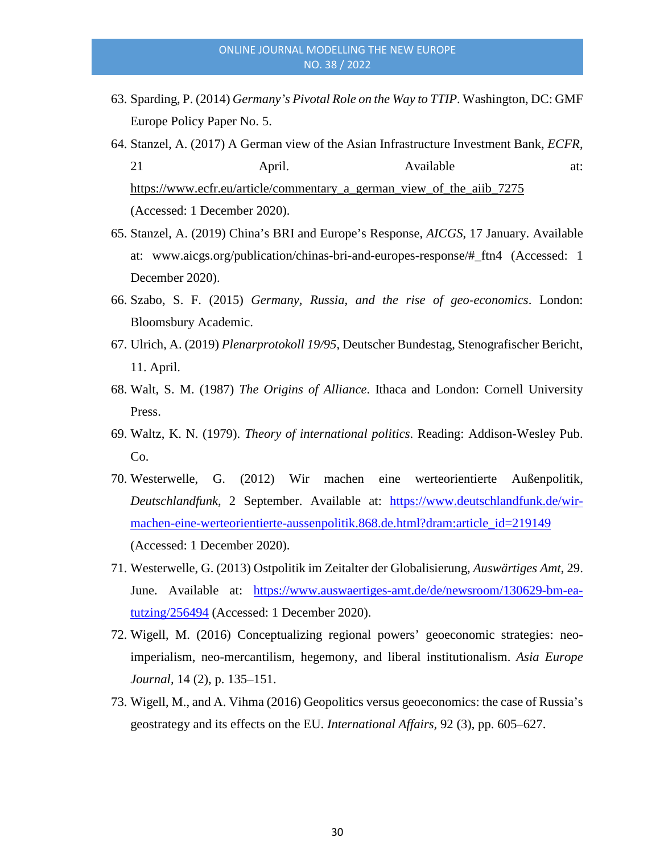- 63. Sparding, P. (2014) *Germany's Pivotal Role on the Way to TTIP*. Washington, DC: GMF Europe Policy Paper No. 5.
- 64. Stanzel, A. (2017) A German view of the Asian Infrastructure Investment Bank, *ECFR*, 21 April. Available at: [https://www.ecfr.eu/article/commentary\\_a\\_german\\_view\\_of\\_the\\_aiib\\_7275](https://www.ecfr.eu/article/commentary_a_german_view_of_the_aiib_7275) (Accessed: 1 December 2020).
- 65. Stanzel, A. (2019) China's BRI and Europe's Response, *AICGS*, 17 January. Available at: [www.aicgs.org/publication/chinas-bri-and-europes-response/#\\_ftn4](http://www.aicgs.org/publication/chinas-bri-and-europes-response/#_ftn4) (Accessed: 1 December 2020).
- 66. Szabo, S. F. (2015) *Germany, Russia, and the rise of geo-economics*. London: Bloomsbury Academic.
- 67. Ulrich, A. (2019) *Plenarprotokoll 19/95*, Deutscher Bundestag, Stenografischer Bericht, 11. April.
- 68. Walt, S. M. (1987) *The Origins of Alliance*. Ithaca and London: Cornell University Press.
- 69. Waltz, K. N. (1979). *Theory of international politics*. Reading: Addison-Wesley Pub. Co.
- 70. Westerwelle, G. (2012) Wir machen eine werteorientierte Außenpolitik, *Deutschlandfunk*, 2 September. Available at: [https://www.deutschlandfunk.de/wir](https://www.deutschlandfunk.de/wir-machen-eine-werteorientierte-aussenpolitik.868.de.html?dram:article_id=219149)[machen-eine-werteorientierte-aussenpolitik.868.de.html?dram:article\\_id=219149](https://www.deutschlandfunk.de/wir-machen-eine-werteorientierte-aussenpolitik.868.de.html?dram:article_id=219149) (Accessed: 1 December 2020).
- 71. Westerwelle, G. (2013) Ostpolitik im Zeitalter der Globalisierung, *Auswärtiges Amt*, 29. June. Available at: [https://www.auswaertiges-amt.de/de/newsroom/130629-bm-ea](https://www.auswaertiges-amt.de/de/newsroom/130629-bm-ea-tutzing/256494)[tutzing/256494](https://www.auswaertiges-amt.de/de/newsroom/130629-bm-ea-tutzing/256494) (Accessed: 1 December 2020).
- 72. Wigell, M. (2016) Conceptualizing regional powers' geoeconomic strategies: neoimperialism, neo-mercantilism, hegemony, and liberal institutionalism. *Asia Europe Journal,* 14 (2), p. 135–151.
- 73. Wigell, M., and A. Vihma (2016) Geopolitics versus geoeconomics: the case of Russia's geostrategy and its effects on the EU. *International Affairs,* 92 (3), pp. 605–627.